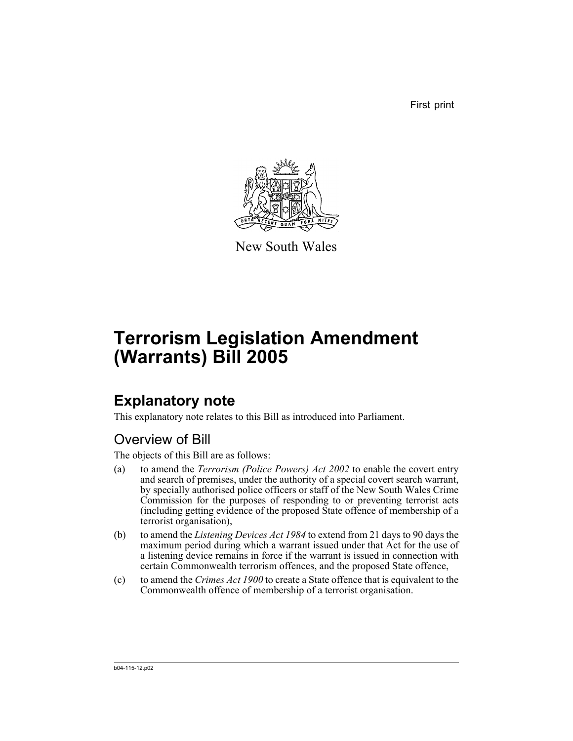First print



New South Wales

# **Terrorism Legislation Amendment (Warrants) Bill 2005**

## **Explanatory note**

This explanatory note relates to this Bill as introduced into Parliament.

## Overview of Bill

The objects of this Bill are as follows:

- (a) to amend the *Terrorism (Police Powers) Act 2002* to enable the covert entry and search of premises, under the authority of a special covert search warrant, by specially authorised police officers or staff of the New South Wales Crime Commission for the purposes of responding to or preventing terrorist acts (including getting evidence of the proposed State offence of membership of a terrorist organisation),
- (b) to amend the *Listening Devices Act 1984* to extend from 21 days to 90 days the maximum period during which a warrant issued under that Act for the use of a listening device remains in force if the warrant is issued in connection with certain Commonwealth terrorism offences, and the proposed State offence,
- (c) to amend the *Crimes Act 1900* to create a State offence that is equivalent to the Commonwealth offence of membership of a terrorist organisation.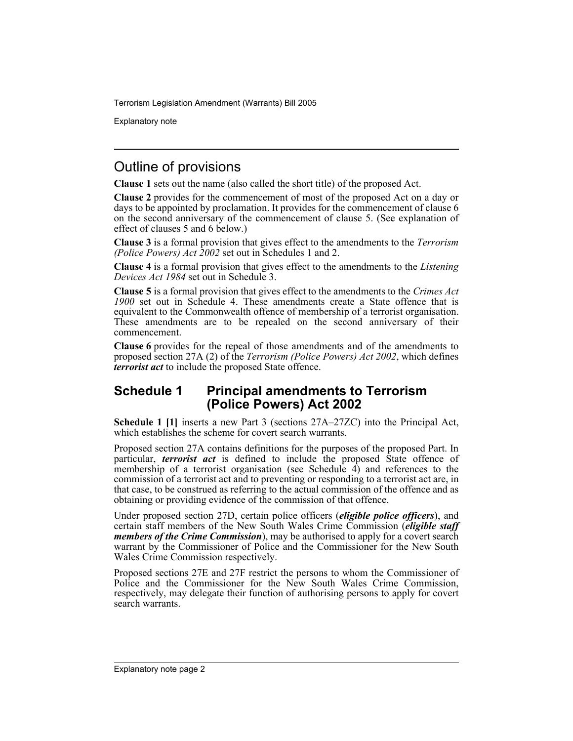Explanatory note

## Outline of provisions

**Clause 1** sets out the name (also called the short title) of the proposed Act.

**Clause 2** provides for the commencement of most of the proposed Act on a day or days to be appointed by proclamation. It provides for the commencement of clause 6 on the second anniversary of the commencement of clause 5. (See explanation of effect of clauses 5 and 6 below.)

**Clause 3** is a formal provision that gives effect to the amendments to the *Terrorism (Police Powers) Act 2002* set out in Schedules 1 and 2.

**Clause 4** is a formal provision that gives effect to the amendments to the *Listening Devices Act 1984* set out in Schedule 3.

**Clause 5** is a formal provision that gives effect to the amendments to the *Crimes Act 1900* set out in Schedule 4. These amendments create a State offence that is equivalent to the Commonwealth offence of membership of a terrorist organisation. These amendments are to be repealed on the second anniversary of their commencement.

**Clause 6** provides for the repeal of those amendments and of the amendments to proposed section 27A (2) of the *Terrorism (Police Powers) Act 2002*, which defines *terrorist act* to include the proposed State offence.

### **Schedule 1 Principal amendments to Terrorism (Police Powers) Act 2002**

**Schedule 1 [1]** inserts a new Part 3 (sections 27A–27ZC) into the Principal Act, which establishes the scheme for covert search warrants.

Proposed section 27A contains definitions for the purposes of the proposed Part. In particular, *terrorist act* is defined to include the proposed State offence of membership of a terrorist organisation (see Schedule  $\hat{A}$ ) and references to the commission of a terrorist act and to preventing or responding to a terrorist act are, in that case, to be construed as referring to the actual commission of the offence and as obtaining or providing evidence of the commission of that offence.

Under proposed section 27D, certain police officers (*eligible police officers*), and certain staff members of the New South Wales Crime Commission (*eligible staff members of the Crime Commission*), may be authorised to apply for a covert search warrant by the Commissioner of Police and the Commissioner for the New South Wales Crime Commission respectively.

Proposed sections 27E and 27F restrict the persons to whom the Commissioner of Police and the Commissioner for the New South Wales Crime Commission, respectively, may delegate their function of authorising persons to apply for covert search warrants.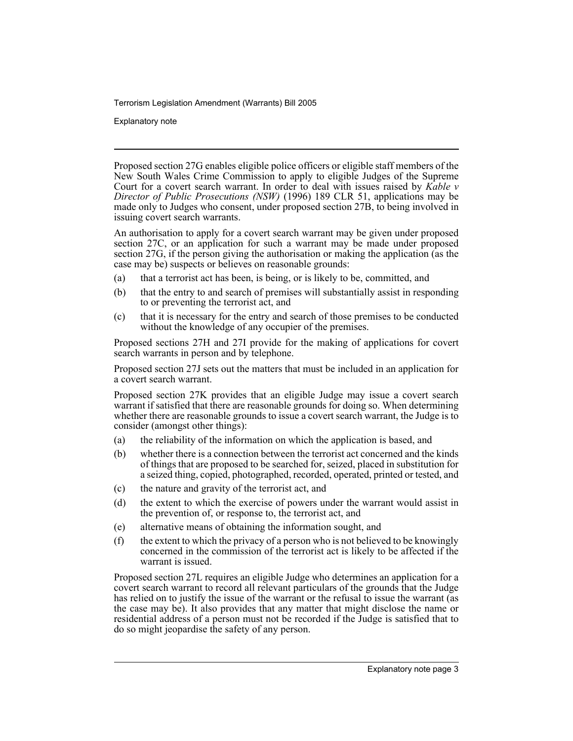Explanatory note

Proposed section 27G enables eligible police officers or eligible staff members of the New South Wales Crime Commission to apply to eligible Judges of the Supreme Court for a covert search warrant. In order to deal with issues raised by *Kable v Director of Public Prosecutions (NSW)* (1996) 189 CLR 51, applications may be made only to Judges who consent, under proposed section 27B, to being involved in issuing covert search warrants.

An authorisation to apply for a covert search warrant may be given under proposed section 27C, or an application for such a warrant may be made under proposed section 27G, if the person giving the authorisation or making the application (as the case may be) suspects or believes on reasonable grounds:

- (a) that a terrorist act has been, is being, or is likely to be, committed, and
- (b) that the entry to and search of premises will substantially assist in responding to or preventing the terrorist act, and
- (c) that it is necessary for the entry and search of those premises to be conducted without the knowledge of any occupier of the premises.

Proposed sections 27H and 27I provide for the making of applications for covert search warrants in person and by telephone.

Proposed section 27J sets out the matters that must be included in an application for a covert search warrant.

Proposed section 27K provides that an eligible Judge may issue a covert search warrant if satisfied that there are reasonable grounds for doing so. When determining whether there are reasonable grounds to issue a covert search warrant, the Judge is to consider (amongst other things):

- (a) the reliability of the information on which the application is based, and
- (b) whether there is a connection between the terrorist act concerned and the kinds of things that are proposed to be searched for, seized, placed in substitution for a seized thing, copied, photographed, recorded, operated, printed or tested, and
- (c) the nature and gravity of the terrorist act, and
- (d) the extent to which the exercise of powers under the warrant would assist in the prevention of, or response to, the terrorist act, and
- (e) alternative means of obtaining the information sought, and
- (f) the extent to which the privacy of a person who is not believed to be knowingly concerned in the commission of the terrorist act is likely to be affected if the warrant is issued.

Proposed section 27L requires an eligible Judge who determines an application for a covert search warrant to record all relevant particulars of the grounds that the Judge has relied on to justify the issue of the warrant or the refusal to issue the warrant (as the case may be). It also provides that any matter that might disclose the name or residential address of a person must not be recorded if the Judge is satisfied that to do so might jeopardise the safety of any person.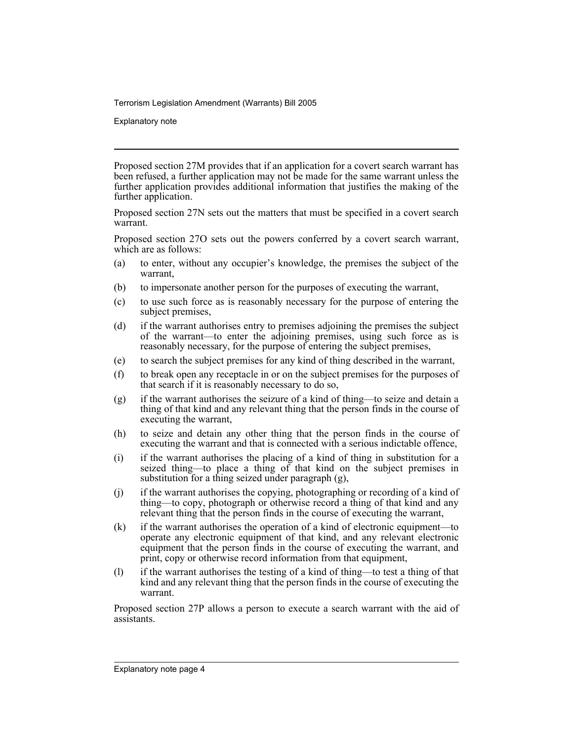Explanatory note

Proposed section 27M provides that if an application for a covert search warrant has been refused, a further application may not be made for the same warrant unless the further application provides additional information that justifies the making of the further application.

Proposed section 27N sets out the matters that must be specified in a covert search warrant.

Proposed section 27O sets out the powers conferred by a covert search warrant, which are as follows:

- (a) to enter, without any occupier's knowledge, the premises the subject of the warrant,
- (b) to impersonate another person for the purposes of executing the warrant,
- (c) to use such force as is reasonably necessary for the purpose of entering the subject premises,
- (d) if the warrant authorises entry to premises adjoining the premises the subject of the warrant—to enter the adjoining premises, using such force as is reasonably necessary, for the purpose of entering the subject premises,
- (e) to search the subject premises for any kind of thing described in the warrant,
- (f) to break open any receptacle in or on the subject premises for the purposes of that search if it is reasonably necessary to do so,
- $(g)$  if the warrant authorises the seizure of a kind of thing—to seize and detain a thing of that kind and any relevant thing that the person finds in the course of executing the warrant,
- (h) to seize and detain any other thing that the person finds in the course of executing the warrant and that is connected with a serious indictable offence,
- (i) if the warrant authorises the placing of a kind of thing in substitution for a seized thing—to place a thing of that kind on the subject premises in substitution for a thing seized under paragraph (g),
- (j) if the warrant authorises the copying, photographing or recording of a kind of thing—to copy, photograph or otherwise record a thing of that kind and any relevant thing that the person finds in the course of executing the warrant,
- (k) if the warrant authorises the operation of a kind of electronic equipment—to operate any electronic equipment of that kind, and any relevant electronic equipment that the person finds in the course of executing the warrant, and print, copy or otherwise record information from that equipment,
- (l) if the warrant authorises the testing of a kind of thing—to test a thing of that kind and any relevant thing that the person finds in the course of executing the warrant.

Proposed section 27P allows a person to execute a search warrant with the aid of assistants.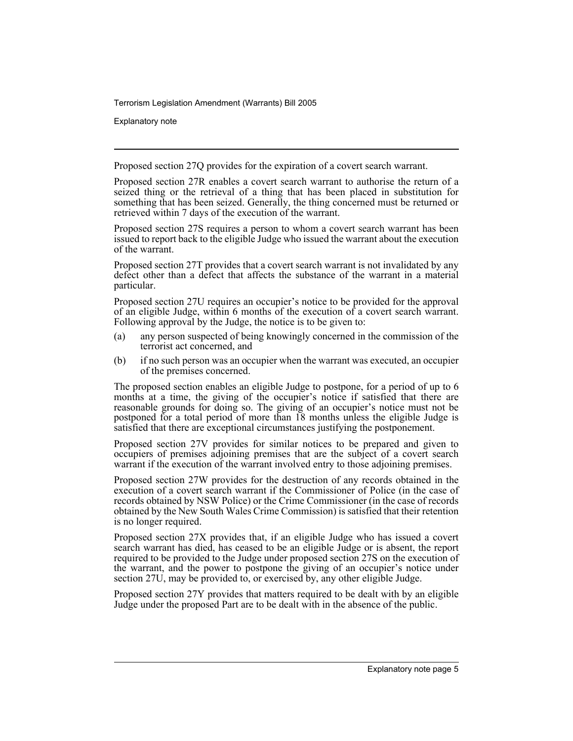Explanatory note

Proposed section 27Q provides for the expiration of a covert search warrant.

Proposed section 27R enables a covert search warrant to authorise the return of a seized thing or the retrieval of a thing that has been placed in substitution for something that has been seized. Generally, the thing concerned must be returned or retrieved within 7 days of the execution of the warrant.

Proposed section 27S requires a person to whom a covert search warrant has been issued to report back to the eligible Judge who issued the warrant about the execution of the warrant.

Proposed section 27T provides that a covert search warrant is not invalidated by any defect other than a defect that affects the substance of the warrant in a material particular.

Proposed section 27U requires an occupier's notice to be provided for the approval of an eligible Judge, within 6 months of the execution of a covert search warrant. Following approval by the Judge, the notice is to be given to:

- (a) any person suspected of being knowingly concerned in the commission of the terrorist act concerned, and
- (b) if no such person was an occupier when the warrant was executed, an occupier of the premises concerned.

The proposed section enables an eligible Judge to postpone, for a period of up to 6 months at a time, the giving of the occupier's notice if satisfied that there are reasonable grounds for doing so. The giving of an occupier's notice must not be postponed for a total period of more than 18 months unless the eligible Judge is satisfied that there are exceptional circumstances justifying the postponement.

Proposed section 27V provides for similar notices to be prepared and given to occupiers of premises adjoining premises that are the subject of a covert search warrant if the execution of the warrant involved entry to those adjoining premises.

Proposed section 27W provides for the destruction of any records obtained in the execution of a covert search warrant if the Commissioner of Police (in the case of records obtained by NSW Police) or the Crime Commissioner (in the case of records obtained by the New South Wales Crime Commission) is satisfied that their retention is no longer required.

Proposed section 27X provides that, if an eligible Judge who has issued a covert search warrant has died, has ceased to be an eligible Judge or is absent, the report required to be provided to the Judge under proposed section 27S on the execution of the warrant, and the power to postpone the giving of an occupier's notice under section 27U, may be provided to, or exercised by, any other eligible Judge.

Proposed section 27Y provides that matters required to be dealt with by an eligible Judge under the proposed Part are to be dealt with in the absence of the public.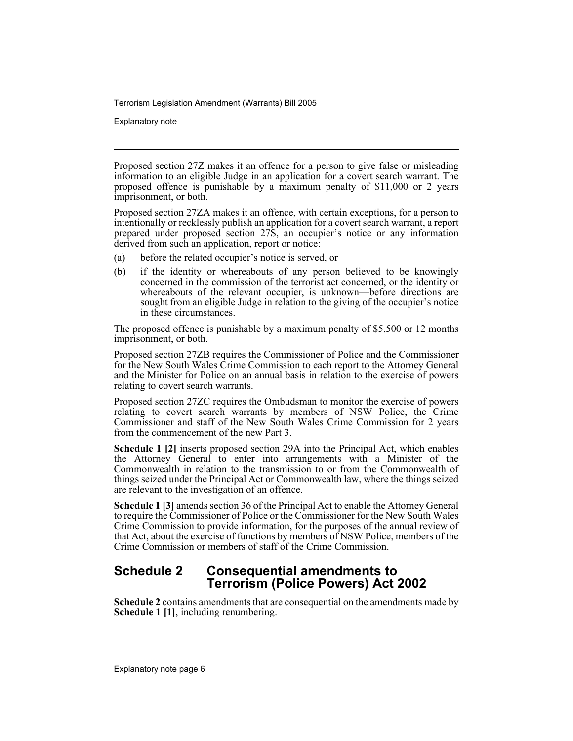Explanatory note

Proposed section 27Z makes it an offence for a person to give false or misleading information to an eligible Judge in an application for a covert search warrant. The proposed offence is punishable by a maximum penalty of \$11,000 or 2 years imprisonment, or both.

Proposed section 27ZA makes it an offence, with certain exceptions, for a person to intentionally or recklessly publish an application for a covert search warrant, a report prepared under proposed section 27S, an occupier's notice or any information derived from such an application, report or notice:

- (a) before the related occupier's notice is served, or
- (b) if the identity or whereabouts of any person believed to be knowingly concerned in the commission of the terrorist act concerned, or the identity or whereabouts of the relevant occupier, is unknown—before directions are sought from an eligible Judge in relation to the giving of the occupier's notice in these circumstances.

The proposed offence is punishable by a maximum penalty of \$5,500 or 12 months imprisonment, or both.

Proposed section 27ZB requires the Commissioner of Police and the Commissioner for the New South Wales Crime Commission to each report to the Attorney General and the Minister for Police on an annual basis in relation to the exercise of powers relating to covert search warrants.

Proposed section 27ZC requires the Ombudsman to monitor the exercise of powers relating to covert search warrants by members of NSW Police, the Crime Commissioner and staff of the New South Wales Crime Commission for 2 years from the commencement of the new Part 3.

**Schedule 1 [2]** inserts proposed section 29A into the Principal Act, which enables the Attorney General to enter into arrangements with a Minister of the Commonwealth in relation to the transmission to or from the Commonwealth of things seized under the Principal Act or Commonwealth law, where the things seized are relevant to the investigation of an offence.

**Schedule 1 [3]** amends section 36 of the Principal Act to enable the Attorney General to require the Commissioner of Police or the Commissioner for the New South Wales Crime Commission to provide information, for the purposes of the annual review of that Act, about the exercise of functions by members of NSW Police, members of the Crime Commission or members of staff of the Crime Commission.

## **Schedule 2 Consequential amendments to Terrorism (Police Powers) Act 2002**

**Schedule 2** contains amendments that are consequential on the amendments made by **Schedule 1 [1]**, including renumbering.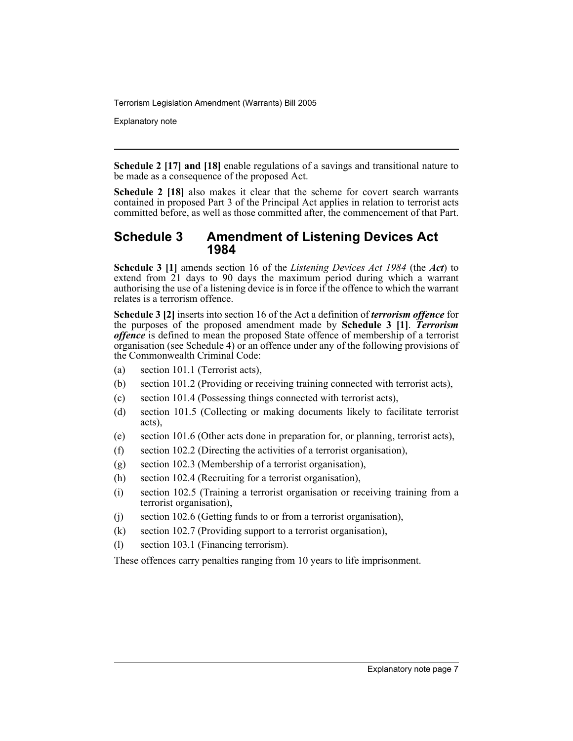Explanatory note

**Schedule 2 [17] and [18]** enable regulations of a savings and transitional nature to be made as a consequence of the proposed Act.

**Schedule 2 [18]** also makes it clear that the scheme for covert search warrants contained in proposed Part 3 of the Principal Act applies in relation to terrorist acts committed before, as well as those committed after, the commencement of that Part.

## **Schedule 3 Amendment of Listening Devices Act 1984**

**Schedule 3 [1]** amends section 16 of the *Listening Devices Act 1984* (the *Act*) to extend from 21 days to 90 days the maximum period during which a warrant authorising the use of a listening device is in force if the offence to which the warrant relates is a terrorism offence.

**Schedule 3 [2]** inserts into section 16 of the Act a definition of *terrorism offence* for the purposes of the proposed amendment made by **Schedule 3 [1]**. *Terrorism offence* is defined to mean the proposed State offence of membership of a terrorist organisation (see Schedule 4) or an offence under any of the following provisions of the Commonwealth Criminal Code:

- (a) section 101.1 (Terrorist acts),
- (b) section 101.2 (Providing or receiving training connected with terrorist acts),
- (c) section 101.4 (Possessing things connected with terrorist acts),
- (d) section 101.5 (Collecting or making documents likely to facilitate terrorist acts),
- (e) section 101.6 (Other acts done in preparation for, or planning, terrorist acts),
- (f) section 102.2 (Directing the activities of a terrorist organisation),
- (g) section 102.3 (Membership of a terrorist organisation),
- (h) section 102.4 (Recruiting for a terrorist organisation),
- (i) section 102.5 (Training a terrorist organisation or receiving training from a terrorist organisation),
- (j) section 102.6 (Getting funds to or from a terrorist organisation),
- (k) section 102.7 (Providing support to a terrorist organisation),
- (l) section 103.1 (Financing terrorism).

These offences carry penalties ranging from 10 years to life imprisonment.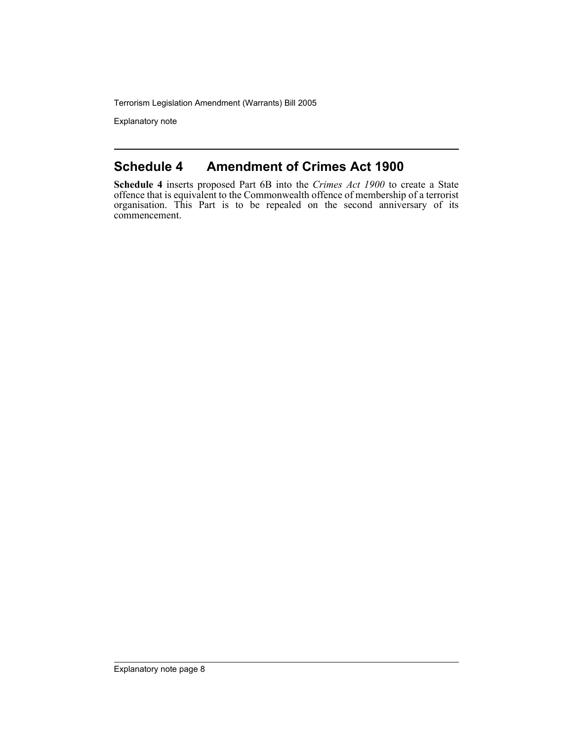Explanatory note

## **Schedule 4 Amendment of Crimes Act 1900**

**Schedule 4** inserts proposed Part 6B into the *Crimes Act 1900* to create a State offence that is equivalent to the Commonwealth offence of membership of a terrorist organisation. This Part is to be repealed on the second anniversary of its commencement.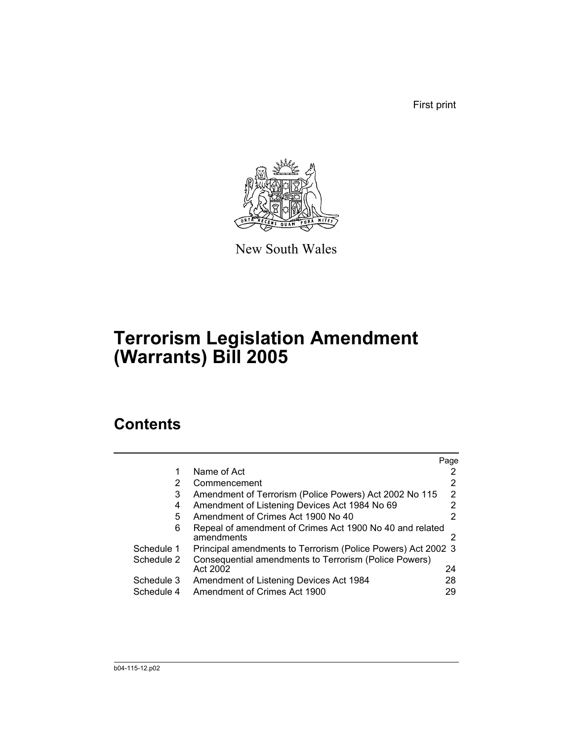First print



New South Wales

# **Terrorism Legislation Amendment (Warrants) Bill 2005**

## **Contents**

|            |                                                                        | Page |
|------------|------------------------------------------------------------------------|------|
|            | Name of Act                                                            |      |
| 2          | Commencement                                                           |      |
| 3          | Amendment of Terrorism (Police Powers) Act 2002 No 115                 | 2    |
| 4          | Amendment of Listening Devices Act 1984 No 69                          | 2    |
| 5          | Amendment of Crimes Act 1900 No 40                                     |      |
| 6          | Repeal of amendment of Crimes Act 1900 No 40 and related<br>amendments |      |
| Schedule 1 | Principal amendments to Terrorism (Police Powers) Act 2002 3           |      |
| Schedule 2 | Consequential amendments to Terrorism (Police Powers)                  |      |
|            | Act 2002                                                               | 24   |
| Schedule 3 | Amendment of Listening Devices Act 1984                                | 28   |
| Schedule 4 | Amendment of Crimes Act 1900                                           | 29   |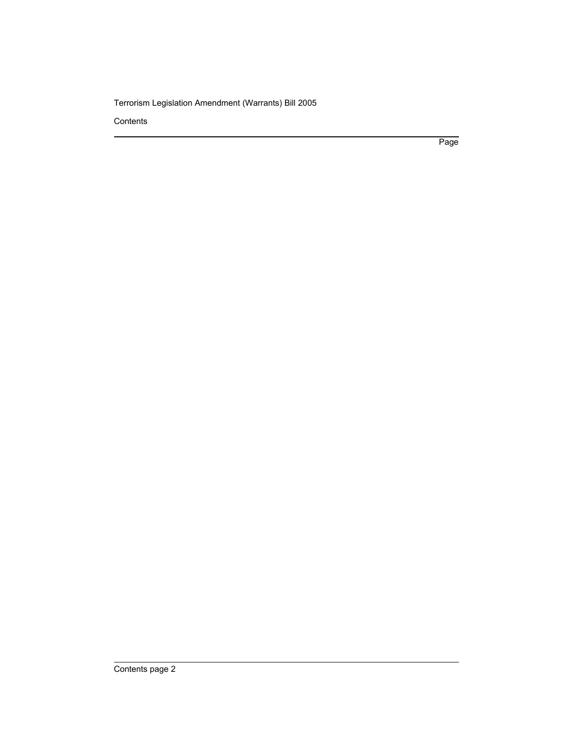**Contents** 

Page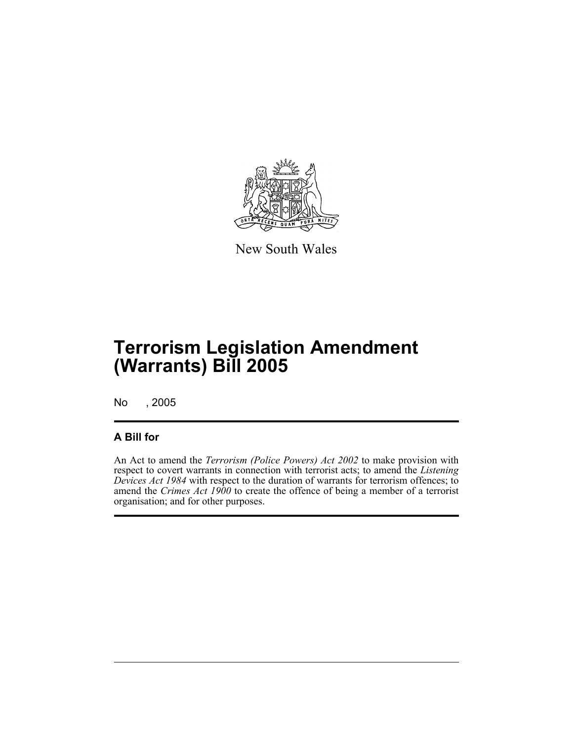

New South Wales

No , 2005

### **A Bill for**

An Act to amend the *Terrorism (Police Powers) Act 2002* to make provision with respect to covert warrants in connection with terrorist acts; to amend the *Listening Devices Act 1984* with respect to the duration of warrants for terrorism offences; to amend the *Crimes Act 1900* to create the offence of being a member of a terrorist organisation; and for other purposes.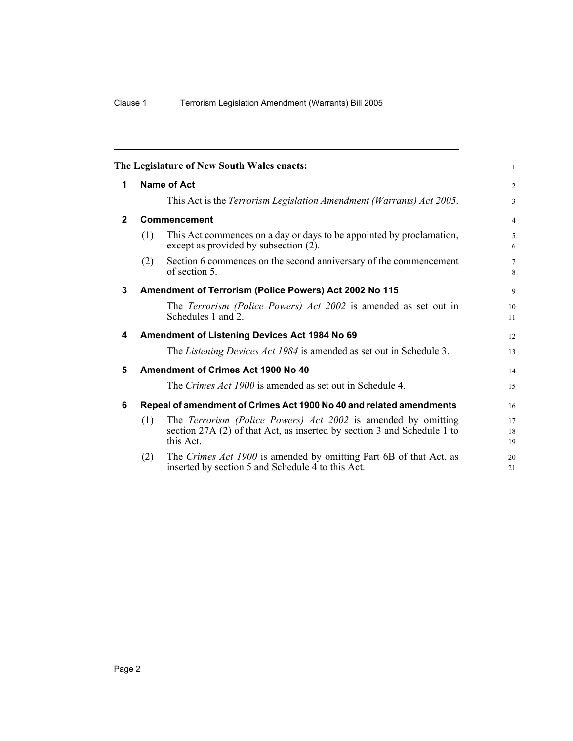|              |     | The Legislature of New South Wales enacts:                                                                                                                   | 1                    |
|--------------|-----|--------------------------------------------------------------------------------------------------------------------------------------------------------------|----------------------|
| 1            |     | <b>Name of Act</b>                                                                                                                                           | 2                    |
|              |     | This Act is the Terrorism Legislation Amendment (Warrants) Act 2005.                                                                                         | 3                    |
| $\mathbf{2}$ |     | <b>Commencement</b>                                                                                                                                          | $\overline{4}$       |
|              | (1) | This Act commences on a day or days to be appointed by proclamation,<br>except as provided by subsection (2).                                                | 5<br>6               |
|              | (2) | Section 6 commences on the second anniversary of the commencement<br>of section 5.                                                                           | $7\overline{ }$<br>8 |
| 3            |     | Amendment of Terrorism (Police Powers) Act 2002 No 115                                                                                                       | 9                    |
|              |     | The Terrorism (Police Powers) Act 2002 is amended as set out in<br>Schedules 1 and 2.                                                                        | 10<br>11             |
| 4            |     | Amendment of Listening Devices Act 1984 No 69                                                                                                                | 12                   |
|              |     | The Listening Devices Act 1984 is amended as set out in Schedule 3.                                                                                          | 13                   |
| 5            |     | <b>Amendment of Crimes Act 1900 No 40</b>                                                                                                                    | 14                   |
|              |     | The Crimes Act 1900 is amended as set out in Schedule 4.                                                                                                     | 15                   |
| 6            |     | Repeal of amendment of Crimes Act 1900 No 40 and related amendments                                                                                          | 16                   |
|              | (1) | The <i>Terrorism (Police Powers) Act 2002</i> is amended by omitting<br>section 27A (2) of that Act, as inserted by section 3 and Schedule 1 to<br>this Act. | 17<br>18<br>19       |
|              | (2) | The Crimes Act 1900 is amended by omitting Part 6B of that Act, as<br>inserted by section 5 and Schedule 4 to this Act.                                      | 20<br>21             |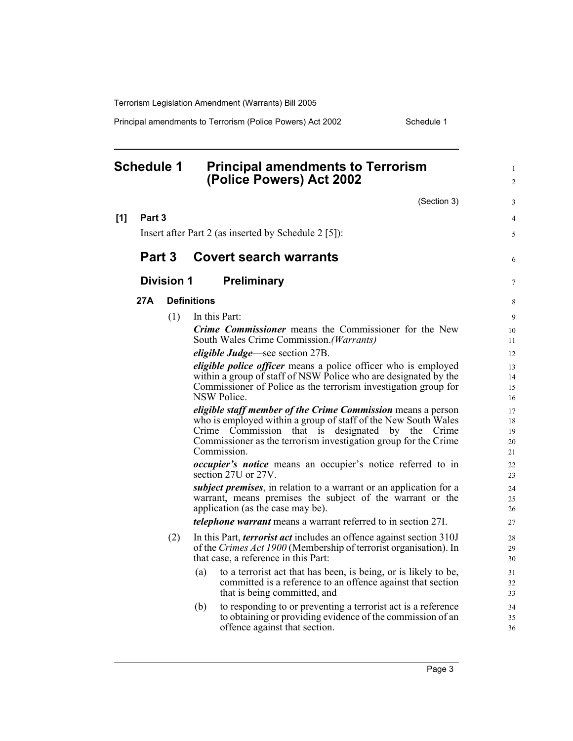Principal amendments to Terrorism (Police Powers) Act 2002 Schedule 1

#### **Schedule 1 Principal amendments to Terrorism (Police Powers) Act 2002** (Section 3) **[1] Part 3** Insert after Part 2 (as inserted by Schedule 2 [5]): **Part 3 Covert search warrants Division 1 Preliminary 27A Definitions** (1) In this Part: *Crime Commissioner* means the Commissioner for the New South Wales Crime Commission.*(Warrants) eligible Judge*—see section 27B. *eligible police officer* means a police officer who is employed within a group of staff of NSW Police who are designated by the Commissioner of Police as the terrorism investigation group for NSW Police. *eligible staff member of the Crime Commission* means a person who is employed within a group of staff of the New South Wales Crime Commission that is designated by the Crime Commissioner as the terrorism investigation group for the Crime Commission. *occupier's notice* means an occupier's notice referred to in section 27U or 27V. *subject premises*, in relation to a warrant or an application for a warrant, means premises the subject of the warrant or the application (as the case may be). *telephone warrant* means a warrant referred to in section 27I. (2) In this Part, *terrorist act* includes an offence against section 310J of the *Crimes Act 1900* (Membership of terrorist organisation). In that case, a reference in this Part: (a) to a terrorist act that has been, is being, or is likely to be, committed is a reference to an offence against that section that is being committed, and (b) to responding to or preventing a terrorist act is a reference to obtaining or providing evidence of the commission of an offence against that section. 1  $\mathfrak{D}$ 3 4 5 6 7 8 9 10 11 12 13 14 15 16 17 18 19 20 21 22 23 24 25 26 27 28 29 30 31 32 33 34 35 36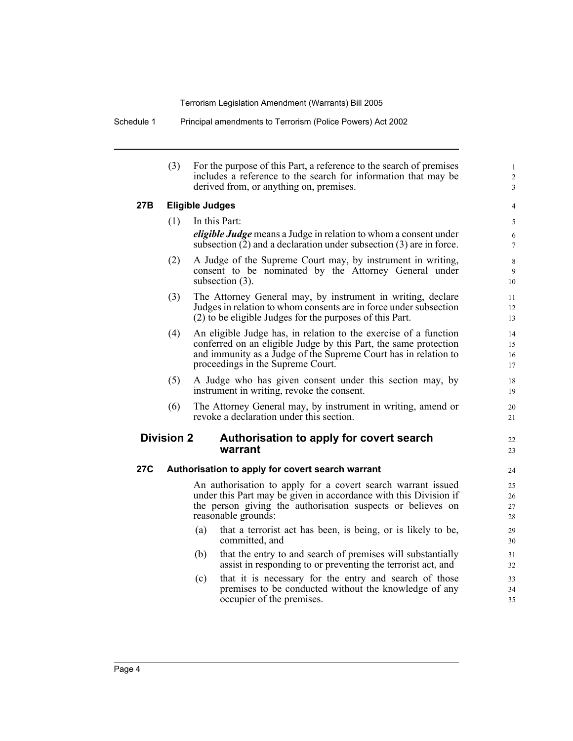Schedule 1 Principal amendments to Terrorism (Police Powers) Act 2002

(3) For the purpose of this Part, a reference to the search of premises includes a reference to the search for information that may be derived from, or anything on, premises.

#### **27B Eligible Judges**

(1) In this Part: *eligible Judge* means a Judge in relation to whom a consent under subsection (2) and a declaration under subsection (3) are in force. (2) A Judge of the Supreme Court may, by instrument in writing, consent to be nominated by the Attorney General under subsection (3). (3) The Attorney General may, by instrument in writing, declare Judges in relation to whom consents are in force under subsection (2) to be eligible Judges for the purposes of this Part. (4) An eligible Judge has, in relation to the exercise of a function conferred on an eligible Judge by this Part, the same protection and immunity as a Judge of the Supreme Court has in relation to proceedings in the Supreme Court. (5) A Judge who has given consent under this section may, by instrument in writing, revoke the consent. (6) The Attorney General may, by instrument in writing, amend or revoke a declaration under this section. **Division 2 Authorisation to apply for covert search warrant 27C Authorisation to apply for covert search warrant** An authorisation to apply for a covert search warrant issued under this Part may be given in accordance with this Division if the person giving the authorisation suspects or believes on reasonable grounds: (a) that a terrorist act has been, is being, or is likely to be, committed, and (b) that the entry to and search of premises will substantially assist in responding to or preventing the terrorist act, and (c) that it is necessary for the entry and search of those premises to be conducted without the knowledge of any occupier of the premises. 10 11 12 13 14 15 16 17 18 19 20 21 22 23 24  $25$ 26 27 28 29 30 31 32 33 34 35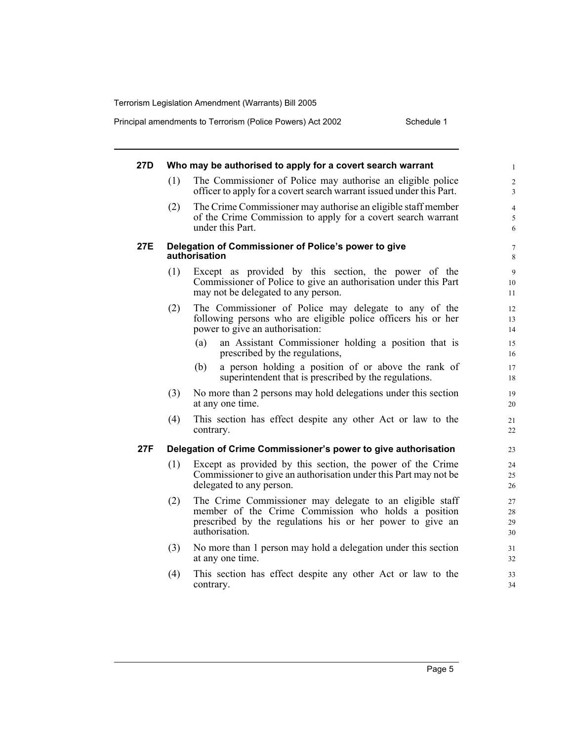Principal amendments to Terrorism (Police Powers) Act 2002 Schedule 1

| 27D        |     | Who may be authorised to apply for a covert search warrant                                                                                                                                     | $\mathbf{1}$                 |
|------------|-----|------------------------------------------------------------------------------------------------------------------------------------------------------------------------------------------------|------------------------------|
|            | (1) | The Commissioner of Police may authorise an eligible police<br>officer to apply for a covert search warrant issued under this Part.                                                            | $\overline{\mathbf{c}}$<br>3 |
|            | (2) | The Crime Commissioner may authorise an eligible staff member<br>of the Crime Commission to apply for a covert search warrant<br>under this Part.                                              | $\overline{4}$<br>5<br>6     |
| <b>27E</b> |     | Delegation of Commissioner of Police's power to give<br>authorisation                                                                                                                          | $\overline{7}$<br>8          |
|            | (1) | Except as provided by this section, the power of the<br>Commissioner of Police to give an authorisation under this Part<br>may not be delegated to any person.                                 | 9<br>10<br>11                |
|            | (2) | The Commissioner of Police may delegate to any of the<br>following persons who are eligible police officers his or her<br>power to give an authorisation:                                      | 12<br>13<br>14               |
|            |     | an Assistant Commissioner holding a position that is<br>(a)<br>prescribed by the regulations,                                                                                                  | 15<br>16                     |
|            |     | a person holding a position of or above the rank of<br>(b)<br>superintendent that is prescribed by the regulations.                                                                            | 17<br>18                     |
|            | (3) | No more than 2 persons may hold delegations under this section<br>at any one time.                                                                                                             | 19<br>20                     |
|            | (4) | This section has effect despite any other Act or law to the<br>contrary.                                                                                                                       | 21<br>22                     |
| 27F        |     | Delegation of Crime Commissioner's power to give authorisation                                                                                                                                 | 23                           |
|            | (1) | Except as provided by this section, the power of the Crime<br>Commissioner to give an authorisation under this Part may not be.<br>delegated to any person.                                    | 24<br>25<br>26               |
|            | (2) | The Crime Commissioner may delegate to an eligible staff<br>member of the Crime Commission who holds a position<br>prescribed by the regulations his or her power to give an<br>authorisation. | 27<br>28<br>29<br>30         |
|            | (3) | No more than 1 person may hold a delegation under this section<br>at any one time.                                                                                                             | 31<br>32                     |
|            | (4) | This section has effect despite any other Act or law to the<br>contrary.                                                                                                                       | 33<br>34                     |
|            |     |                                                                                                                                                                                                |                              |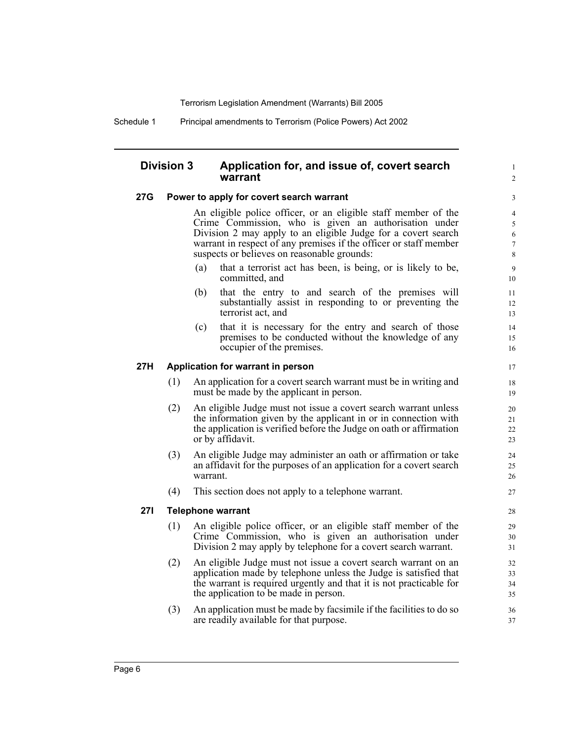Schedule 1 Principal amendments to Terrorism (Police Powers) Act 2002

### **Division 3 Application for, and issue of, covert search warrant**

#### **27G Power to apply for covert search warrant**

An eligible police officer, or an eligible staff member of the Crime Commission, who is given an authorisation under Division 2 may apply to an eligible Judge for a covert search warrant in respect of any premises if the officer or staff member suspects or believes on reasonable grounds:

1  $\mathcal{L}$ 

- (a) that a terrorist act has been, is being, or is likely to be, committed, and
- (b) that the entry to and search of the premises will substantially assist in responding to or preventing the terrorist act, and
- (c) that it is necessary for the entry and search of those premises to be conducted without the knowledge of any occupier of the premises.

#### **27H Application for warrant in person**

- (1) An application for a covert search warrant must be in writing and must be made by the applicant in person.
- (2) An eligible Judge must not issue a covert search warrant unless the information given by the applicant in or in connection with the application is verified before the Judge on oath or affirmation or by affidavit.
- (3) An eligible Judge may administer an oath or affirmation or take an affidavit for the purposes of an application for a covert search warrant.
- (4) This section does not apply to a telephone warrant.

#### **27I Telephone warrant**

- (1) An eligible police officer, or an eligible staff member of the Crime Commission, who is given an authorisation under Division 2 may apply by telephone for a covert search warrant.
- (2) An eligible Judge must not issue a covert search warrant on an application made by telephone unless the Judge is satisfied that the warrant is required urgently and that it is not practicable for the application to be made in person.
- (3) An application must be made by facsimile if the facilities to do so are readily available for that purpose.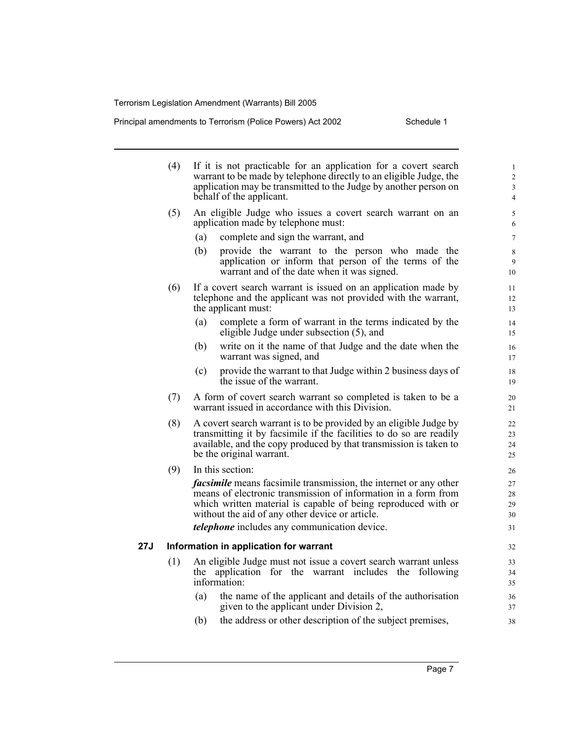Principal amendments to Terrorism (Police Powers) Act 2002 Schedule 1

|     | (4) | If it is not practicable for an application for a covert search<br>warrant to be made by telephone directly to an eligible Judge, the<br>application may be transmitted to the Judge by another person on<br>behalf of the applicant.     | $\mathbf{1}$<br>$\overline{2}$<br>3<br>$\overline{4}$ |
|-----|-----|-------------------------------------------------------------------------------------------------------------------------------------------------------------------------------------------------------------------------------------------|-------------------------------------------------------|
|     | (5) | An eligible Judge who issues a covert search warrant on an<br>application made by telephone must:                                                                                                                                         | 5<br>6                                                |
|     |     | complete and sign the warrant, and<br>(a)                                                                                                                                                                                                 | $\tau$                                                |
|     |     | (b)<br>provide the warrant to the person who made the<br>application or inform that person of the terms of the<br>warrant and of the date when it was signed.                                                                             | 8<br>9<br>10                                          |
|     | (6) | If a covert search warrant is issued on an application made by<br>telephone and the applicant was not provided with the warrant,<br>the applicant must:                                                                                   | 11<br>12<br>13                                        |
|     |     | complete a form of warrant in the terms indicated by the<br>(a)<br>eligible Judge under subsection (5), and                                                                                                                               | 14<br>15                                              |
|     |     | write on it the name of that Judge and the date when the<br>(b)<br>warrant was signed, and                                                                                                                                                | 16<br>17                                              |
|     |     | provide the warrant to that Judge within 2 business days of<br>(c)<br>the issue of the warrant.                                                                                                                                           | 18<br>19                                              |
|     | (7) | A form of covert search warrant so completed is taken to be a<br>warrant issued in accordance with this Division.                                                                                                                         | 20<br>21                                              |
|     | (8) | A covert search warrant is to be provided by an eligible Judge by<br>transmitting it by facsimile if the facilities to do so are readily<br>available, and the copy produced by that transmission is taken to<br>be the original warrant. | 22<br>23<br>24<br>25                                  |
|     | (9) | In this section:                                                                                                                                                                                                                          | 26                                                    |
|     |     | <i>facsimile</i> means facsimile transmission, the internet or any other                                                                                                                                                                  | 27                                                    |
|     |     | means of electronic transmission of information in a form from                                                                                                                                                                            | 28                                                    |
|     |     | which written material is capable of being reproduced with or<br>without the aid of any other device or article.                                                                                                                          | 29<br>30                                              |
|     |     | <i>telephone</i> includes any communication device.                                                                                                                                                                                       | 31                                                    |
|     |     |                                                                                                                                                                                                                                           |                                                       |
| 27J |     | Information in application for warrant                                                                                                                                                                                                    | 32                                                    |
|     | (1) | An eligible Judge must not issue a covert search warrant unless<br>application for the warrant includes the<br>following<br>the                                                                                                           | 33                                                    |
|     |     | information:                                                                                                                                                                                                                              | 34<br>35                                              |
|     |     | the name of the applicant and details of the authorisation<br>(a)                                                                                                                                                                         | 36                                                    |
|     |     | given to the applicant under Division 2,                                                                                                                                                                                                  | 37                                                    |
|     |     | (b)<br>the address or other description of the subject premises,                                                                                                                                                                          | 38                                                    |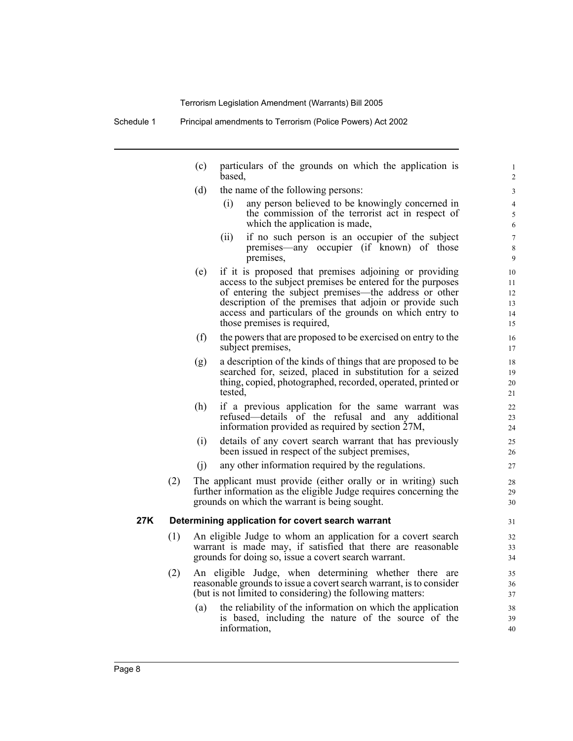- (c) particulars of the grounds on which the application is based,
- (d) the name of the following persons:
	- (i) any person believed to be knowingly concerned in the commission of the terrorist act in respect of which the application is made,

- (ii) if no such person is an occupier of the subject premises—any occupier (if known) of those premises,
- (e) if it is proposed that premises adjoining or providing access to the subject premises be entered for the purposes of entering the subject premises—the address or other description of the premises that adjoin or provide such access and particulars of the grounds on which entry to those premises is required,
- (f) the powers that are proposed to be exercised on entry to the subject premises,
- (g) a description of the kinds of things that are proposed to be searched for, seized, placed in substitution for a seized thing, copied, photographed, recorded, operated, printed or tested,
- (h) if a previous application for the same warrant was refused—details of the refusal and any additional information provided as required by section 27M,
- (i) details of any covert search warrant that has previously been issued in respect of the subject premises,
- (j) any other information required by the regulations.
- (2) The applicant must provide (either orally or in writing) such further information as the eligible Judge requires concerning the grounds on which the warrant is being sought.

#### **27K Determining application for covert search warrant**

- (1) An eligible Judge to whom an application for a covert search warrant is made may, if satisfied that there are reasonable grounds for doing so, issue a covert search warrant.
- (2) An eligible Judge, when determining whether there are reasonable grounds to issue a covert search warrant, is to consider (but is not limited to considering) the following matters:
	- (a) the reliability of the information on which the application is based, including the nature of the source of the information,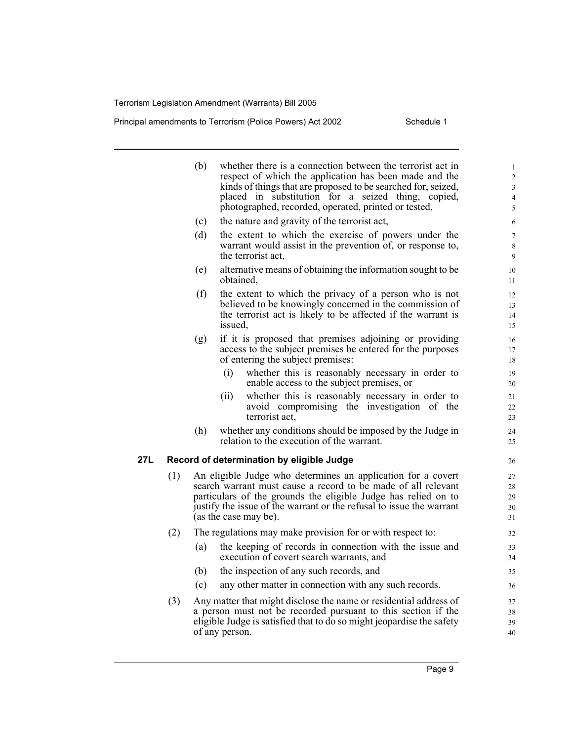Principal amendments to Terrorism (Police Powers) Act 2002 Schedule 1

|     |     | (b) | whether there is a connection between the terrorist act in<br>respect of which the application has been made and the<br>kinds of things that are proposed to be searched for, seized, | $\mathbf{1}$<br>$\overline{c}$<br>$\mathfrak{Z}$ |
|-----|-----|-----|---------------------------------------------------------------------------------------------------------------------------------------------------------------------------------------|--------------------------------------------------|
|     |     |     | placed in substitution for a seized thing, copied,                                                                                                                                    | $\overline{4}$                                   |
|     |     |     | photographed, recorded, operated, printed or tested,                                                                                                                                  | 5                                                |
|     |     | (c) | the nature and gravity of the terrorist act,                                                                                                                                          | 6                                                |
|     |     | (d) | the extent to which the exercise of powers under the                                                                                                                                  | $\tau$                                           |
|     |     |     | warrant would assist in the prevention of, or response to,<br>the terrorist act,                                                                                                      | 8<br>9                                           |
|     |     | (e) | alternative means of obtaining the information sought to be<br>obtained,                                                                                                              | 10<br>11                                         |
|     |     | (f) | the extent to which the privacy of a person who is not                                                                                                                                | 12                                               |
|     |     |     | believed to be knowingly concerned in the commission of                                                                                                                               | 13                                               |
|     |     |     | the terrorist act is likely to be affected if the warrant is<br>issued,                                                                                                               | 14<br>15                                         |
|     |     | (g) | if it is proposed that premises adjoining or providing                                                                                                                                | 16                                               |
|     |     |     | access to the subject premises be entered for the purposes                                                                                                                            | 17                                               |
|     |     |     | of entering the subject premises:                                                                                                                                                     | 18                                               |
|     |     |     | whether this is reasonably necessary in order to<br>(i)                                                                                                                               | 19                                               |
|     |     |     | enable access to the subject premises, or                                                                                                                                             | 20                                               |
|     |     |     | whether this is reasonably necessary in order to<br>(11)<br>avoid compromising the investigation of the                                                                               | 21<br>22                                         |
|     |     |     | terrorist act,                                                                                                                                                                        | 23                                               |
|     |     | (h) | whether any conditions should be imposed by the Judge in                                                                                                                              | 24                                               |
|     |     |     | relation to the execution of the warrant.                                                                                                                                             | 25                                               |
| 27L |     |     | Record of determination by eligible Judge                                                                                                                                             | 26                                               |
|     | (1) |     | An eligible Judge who determines an application for a covert                                                                                                                          | 27                                               |
|     |     |     | search warrant must cause a record to be made of all relevant                                                                                                                         | 28                                               |
|     |     |     | particulars of the grounds the eligible Judge has relied on to<br>justify the issue of the warrant or the refusal to issue the warrant                                                | 29<br>30                                         |
|     |     |     | (as the case may be).                                                                                                                                                                 | 31                                               |
|     | (2) |     | The regulations may make provision for or with respect to:                                                                                                                            | 32                                               |
|     |     | (a) | the keeping of records in connection with the issue and<br>execution of covert search warrants, and                                                                                   | 33<br>34                                         |
|     |     | (b) | the inspection of any such records, and                                                                                                                                               | 35                                               |
|     |     | (c) | any other matter in connection with any such records.                                                                                                                                 | 36                                               |
|     | (3) |     | Any matter that might disclose the name or residential address of                                                                                                                     | 37                                               |
|     |     |     | a person must not be recorded pursuant to this section if the                                                                                                                         | 38                                               |
|     |     |     | eligible Judge is satisfied that to do so might jeopardise the safety                                                                                                                 | 39                                               |
|     |     |     | of any person.                                                                                                                                                                        | 40                                               |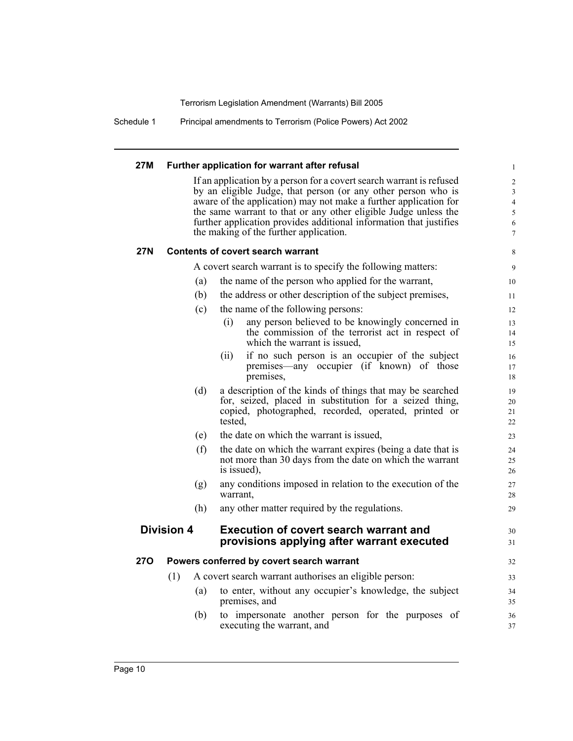Schedule 1 Principal amendments to Terrorism (Police Powers) Act 2002

#### **27M Further application for warrant after refusal**

If an application by a person for a covert search warrant is refused by an eligible Judge, that person (or any other person who is aware of the application) may not make a further application for the same warrant to that or any other eligible Judge unless the further application provides additional information that justifies the making of the further application.

36 37

#### **27N Contents of covert search warrant**

A covert search warrant is to specify the following matters:

- (a) the name of the person who applied for the warrant,
- (b) the address or other description of the subject premises,
- (c) the name of the following persons:

|            |                   | (c) | the name of the following persons:                                                                                                                                                      | 12                   |
|------------|-------------------|-----|-----------------------------------------------------------------------------------------------------------------------------------------------------------------------------------------|----------------------|
|            |                   |     | any person believed to be knowingly concerned in<br>(i)<br>the commission of the terrorist act in respect of<br>which the warrant is issued,                                            | 13<br>14<br>15       |
|            |                   |     | if no such person is an occupier of the subject<br>(11)<br>premises—any occupier (if known) of those<br>premises,                                                                       | 16<br>17<br>18       |
|            |                   | (d) | a description of the kinds of things that may be searched<br>for, seized, placed in substitution for a seized thing,<br>copied, photographed, recorded, operated, printed or<br>tested, | 19<br>20<br>21<br>22 |
|            |                   | (e) | the date on which the warrant is issued,                                                                                                                                                | 23                   |
|            |                   | (f) | the date on which the warrant expires (being a date that is<br>not more than 30 days from the date on which the warrant<br>is issued),                                                  | 24<br>25<br>26       |
|            |                   | (g) | any conditions imposed in relation to the execution of the<br>warrant,                                                                                                                  | 27<br>28             |
|            |                   | (h) | any other matter required by the regulations.                                                                                                                                           | 29                   |
|            | <b>Division 4</b> |     | <b>Execution of covert search warrant and</b><br>provisions applying after warrant executed                                                                                             | 30<br>31             |
| <b>270</b> |                   |     | Powers conferred by covert search warrant                                                                                                                                               | 32                   |
|            | (1)               |     | A covert search warrant authorises an eligible person:                                                                                                                                  | 33                   |
|            |                   | (a) | to enter, without any occupier's knowledge, the subject<br>premises, and                                                                                                                | 34<br>35             |

(b) to impersonate another person for the purposes of executing the warrant, and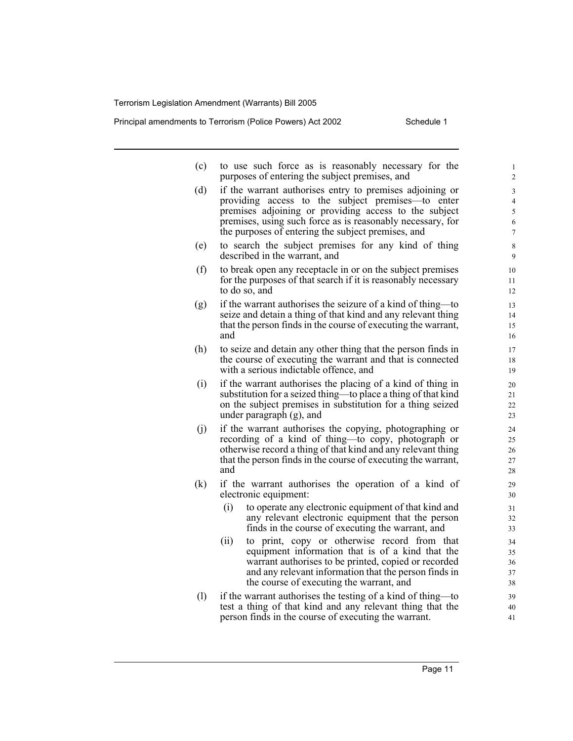Principal amendments to Terrorism (Police Powers) Act 2002 Schedule 1

- (c) to use such force as is reasonably necessary for the purposes of entering the subject premises, and
- (d) if the warrant authorises entry to premises adjoining or providing access to the subject premises—to enter premises adjoining or providing access to the subject premises, using such force as is reasonably necessary, for the purposes of entering the subject premises, and
- (e) to search the subject premises for any kind of thing described in the warrant, and
- (f) to break open any receptacle in or on the subject premises for the purposes of that search if it is reasonably necessary to do so, and
- (g) if the warrant authorises the seizure of a kind of thing—to seize and detain a thing of that kind and any relevant thing that the person finds in the course of executing the warrant, and
- (h) to seize and detain any other thing that the person finds in the course of executing the warrant and that is connected with a serious indictable offence, and
- (i) if the warrant authorises the placing of a kind of thing in substitution for a seized thing—to place a thing of that kind on the subject premises in substitution for a thing seized under paragraph (g), and
- (j) if the warrant authorises the copying, photographing or recording of a kind of thing—to copy, photograph or otherwise record a thing of that kind and any relevant thing that the person finds in the course of executing the warrant, and
- (k) if the warrant authorises the operation of a kind of electronic equipment:
	- (i) to operate any electronic equipment of that kind and any relevant electronic equipment that the person finds in the course of executing the warrant, and
	- (ii) to print, copy or otherwise record from that equipment information that is of a kind that the warrant authorises to be printed, copied or recorded and any relevant information that the person finds in the course of executing the warrant, and
- (l) if the warrant authorises the testing of a kind of thing—to test a thing of that kind and any relevant thing that the person finds in the course of executing the warrant.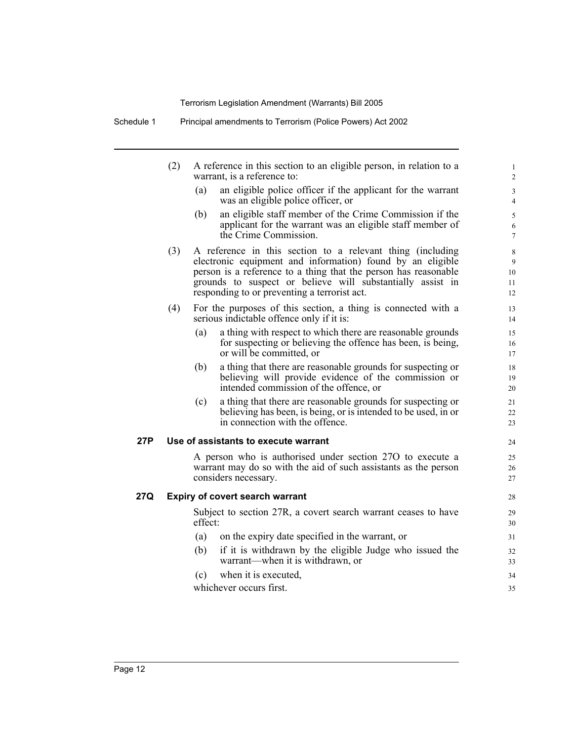|     | (2) |         | A reference in this section to an eligible person, in relation to a<br>warrant, is a reference to:                                                                                                                                                                                                        | $\mathbf{1}$<br>2                  |
|-----|-----|---------|-----------------------------------------------------------------------------------------------------------------------------------------------------------------------------------------------------------------------------------------------------------------------------------------------------------|------------------------------------|
|     |     | (a)     | an eligible police officer if the applicant for the warrant<br>was an eligible police officer, or                                                                                                                                                                                                         | $\mathfrak{Z}$<br>$\overline{4}$   |
|     |     | (b)     | an eligible staff member of the Crime Commission if the<br>applicant for the warrant was an eligible staff member of<br>the Crime Commission.                                                                                                                                                             | $\sqrt{5}$<br>6<br>$\tau$          |
|     | (3) |         | A reference in this section to a relevant thing (including<br>electronic equipment and information) found by an eligible<br>person is a reference to a thing that the person has reasonable<br>grounds to suspect or believe will substantially assist in<br>responding to or preventing a terrorist act. | $\,$ 8 $\,$<br>9<br>10<br>11<br>12 |
|     | (4) |         | For the purposes of this section, a thing is connected with a<br>serious indictable offence only if it is:                                                                                                                                                                                                | 13<br>14                           |
|     |     | (a)     | a thing with respect to which there are reasonable grounds<br>for suspecting or believing the offence has been, is being,<br>or will be committed, or                                                                                                                                                     | 15<br>16<br>17                     |
|     |     | (b)     | a thing that there are reasonable grounds for suspecting or<br>believing will provide evidence of the commission or<br>intended commission of the offence, or                                                                                                                                             | 18<br>19<br>20                     |
|     |     | (c)     | a thing that there are reasonable grounds for suspecting or<br>believing has been, is being, or is intended to be used, in or<br>in connection with the offence.                                                                                                                                          | 21<br>22<br>23                     |
| 27P |     |         | Use of assistants to execute warrant                                                                                                                                                                                                                                                                      | 24                                 |
|     |     |         | A person who is authorised under section 270 to execute a<br>warrant may do so with the aid of such assistants as the person<br>considers necessary.                                                                                                                                                      | 25<br>26<br>27                     |
| 27Q |     |         | <b>Expiry of covert search warrant</b>                                                                                                                                                                                                                                                                    | 28                                 |
|     |     | effect: | Subject to section 27R, a covert search warrant ceases to have                                                                                                                                                                                                                                            | 29<br>30                           |
|     |     | (a)     | on the expiry date specified in the warrant, or                                                                                                                                                                                                                                                           | 31                                 |
|     |     | (b)     | if it is withdrawn by the eligible Judge who issued the<br>warrant—when it is withdrawn, or                                                                                                                                                                                                               | 32<br>33                           |
|     |     | (c)     | when it is executed,                                                                                                                                                                                                                                                                                      | 34                                 |
|     |     |         | whichever occurs first.                                                                                                                                                                                                                                                                                   | 35                                 |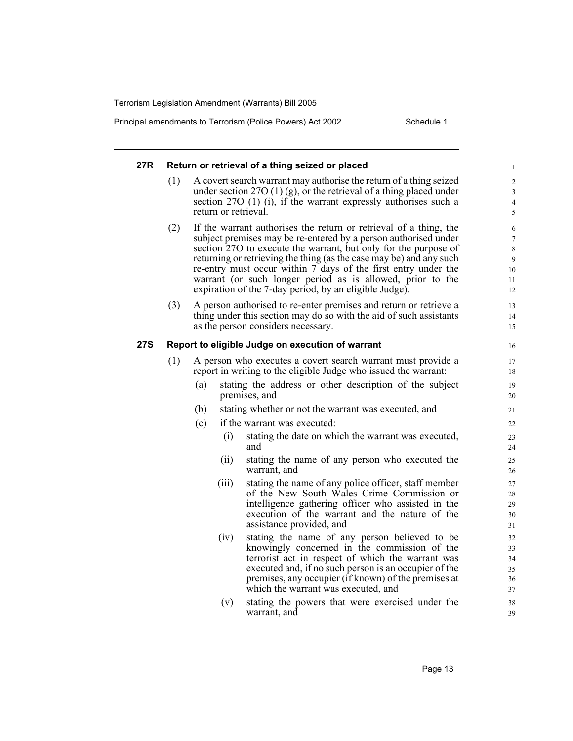Principal amendments to Terrorism (Police Powers) Act 2002 Schedule 1

#### **27R Return or retrieval of a thing seized or placed** (1) A covert search warrant may authorise the return of a thing seized under section 27O (1) (g), or the retrieval of a thing placed under section 27O (1) (i), if the warrant expressly authorises such a return or retrieval. (2) If the warrant authorises the return or retrieval of a thing, the subject premises may be re-entered by a person authorised under section 27O to execute the warrant, but only for the purpose of returning or retrieving the thing (as the case may be) and any such re-entry must occur within 7 days of the first entry under the warrant (or such longer period as is allowed, prior to the expiration of the 7-day period, by an eligible Judge). (3) A person authorised to re-enter premises and return or retrieve a thing under this section may do so with the aid of such assistants as the person considers necessary. **27S Report to eligible Judge on execution of warrant** (1) A person who executes a covert search warrant must provide a report in writing to the eligible Judge who issued the warrant: (a) stating the address or other description of the subject premises, and (b) stating whether or not the warrant was executed, and (c) if the warrant was executed: (i) stating the date on which the warrant was executed, and (ii) stating the name of any person who executed the warrant, and (iii) stating the name of any police officer, staff member of the New South Wales Crime Commission or intelligence gathering officer who assisted in the execution of the warrant and the nature of the assistance provided, and (iv) stating the name of any person believed to be knowingly concerned in the commission of the terrorist act in respect of which the warrant was executed and, if no such person is an occupier of the premises, any occupier (if known) of the premises at which the warrant was executed, and (v) stating the powers that were exercised under the warrant, and 1  $\mathfrak{D}$ 3 4 5 6 7 8 9 10 11 12 13 14 15 16 17 18 19 20 21 22 23  $24$ 25 26 27 28 29 30 31 32 33 34 35 36 37 38 39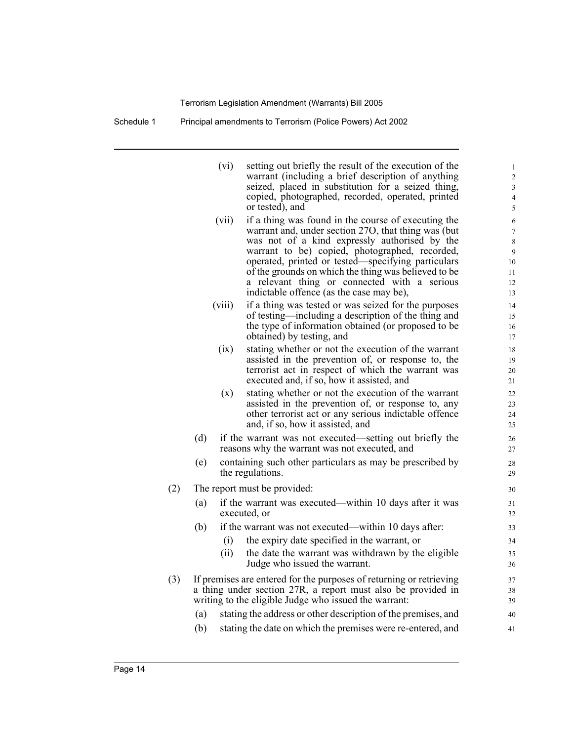| Schedule 1 | Principal amendments to Terrorism (Police Powers) Act 2002 |  |  |
|------------|------------------------------------------------------------|--|--|
|            |                                                            |  |  |

|     |     | (vi)   | setting out briefly the result of the execution of the<br>warrant (including a brief description of anything<br>seized, placed in substitution for a seized thing, | 1<br>$\overline{c}$<br>3 |
|-----|-----|--------|--------------------------------------------------------------------------------------------------------------------------------------------------------------------|--------------------------|
|     |     |        | copied, photographed, recorded, operated, printed<br>or tested), and                                                                                               | $\overline{4}$<br>5      |
|     |     | (vii)  | if a thing was found in the course of executing the                                                                                                                | 6                        |
|     |     |        | warrant and, under section 27O, that thing was (but                                                                                                                | $\tau$                   |
|     |     |        | was not of a kind expressly authorised by the<br>warrant to be) copied, photographed, recorded,                                                                    | $\,$ 8 $\,$<br>9         |
|     |     |        | operated, printed or tested—specifying particulars                                                                                                                 | 10                       |
|     |     |        | of the grounds on which the thing was believed to be                                                                                                               | 11                       |
|     |     |        | a relevant thing or connected with a serious                                                                                                                       | 12                       |
|     |     |        | indictable offence (as the case may be),                                                                                                                           | 13                       |
|     |     | (viii) | if a thing was tested or was seized for the purposes<br>of testing—including a description of the thing and                                                        | 14<br>15                 |
|     |     |        | the type of information obtained (or proposed to be                                                                                                                | 16                       |
|     |     |        | obtained) by testing, and                                                                                                                                          | 17                       |
|     |     | (ix)   | stating whether or not the execution of the warrant                                                                                                                | 18                       |
|     |     |        | assisted in the prevention of, or response to, the                                                                                                                 | 19                       |
|     |     |        | terrorist act in respect of which the warrant was<br>executed and, if so, how it assisted, and                                                                     | 20<br>21                 |
|     |     |        | stating whether or not the execution of the warrant                                                                                                                |                          |
|     |     | (x)    | assisted in the prevention of, or response to, any                                                                                                                 | 22<br>23                 |
|     |     |        | other terrorist act or any serious indictable offence                                                                                                              | 24                       |
|     |     |        | and, if so, how it assisted, and                                                                                                                                   | 25                       |
|     | (d) |        | if the warrant was not executed—setting out briefly the<br>reasons why the warrant was not executed, and                                                           | 26<br>27                 |
|     | (e) |        | containing such other particulars as may be prescribed by                                                                                                          | 28                       |
|     |     |        | the regulations.                                                                                                                                                   | 29                       |
| (2) |     |        | The report must be provided:                                                                                                                                       | 30                       |
|     | (a) |        | if the warrant was executed—within 10 days after it was                                                                                                            | 31                       |
|     |     |        | executed, or                                                                                                                                                       | 32                       |
|     | (b) |        | if the warrant was not executed—within 10 days after:                                                                                                              | 33                       |
|     |     | (i)    | the expiry date specified in the warrant, or                                                                                                                       | 34                       |
|     |     | (ii)   | the date the warrant was withdrawn by the eligible                                                                                                                 | 35                       |
|     |     |        | Judge who issued the warrant.                                                                                                                                      | 36                       |
| (3) |     |        | If premises are entered for the purposes of returning or retrieving                                                                                                | 37                       |
|     |     |        | a thing under section 27R, a report must also be provided in<br>writing to the eligible Judge who issued the warrant:                                              | 38                       |
|     |     |        |                                                                                                                                                                    | 39                       |
|     | (a) |        | stating the address or other description of the premises, and                                                                                                      | 40                       |
|     | (b) |        | stating the date on which the premises were re-entered, and                                                                                                        | 41                       |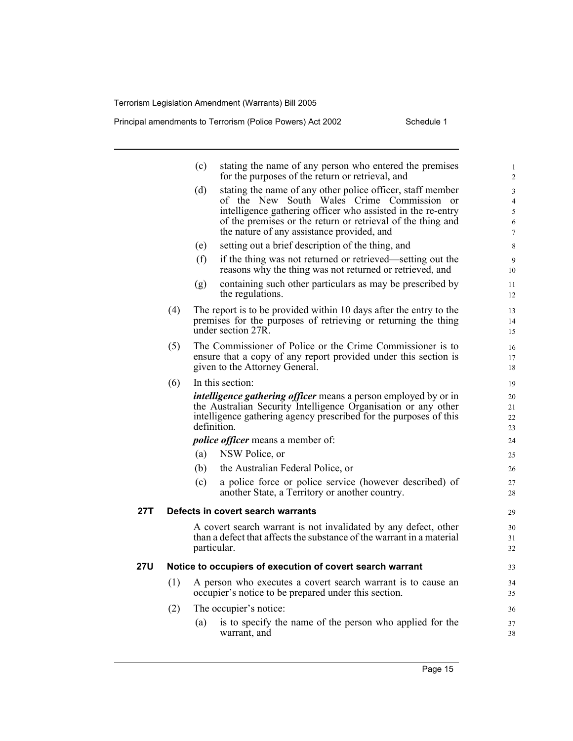**27T Defects in covert search warrants**

Principal amendments to Terrorism (Police Powers) Act 2002 Schedule 1

|     |     | (c) | stating the name of any person who entered the premises<br>for the purposes of the return or retrieval, and                                                                                                                                                                          | $\mathbf{1}$<br>$\overline{2}$                  |
|-----|-----|-----|--------------------------------------------------------------------------------------------------------------------------------------------------------------------------------------------------------------------------------------------------------------------------------------|-------------------------------------------------|
|     |     | (d) | stating the name of any other police officer, staff member<br>of the New South Wales Crime Commission or<br>intelligence gathering officer who assisted in the re-entry<br>of the premises or the return or retrieval of the thing and<br>the nature of any assistance provided, and | 3<br>$\overline{4}$<br>5<br>6<br>$\overline{7}$ |
|     |     | (e) | setting out a brief description of the thing, and                                                                                                                                                                                                                                    | 8                                               |
|     |     | (f) | if the thing was not returned or retrieved—setting out the<br>reasons why the thing was not returned or retrieved, and                                                                                                                                                               | 9<br>10                                         |
|     |     | (g) | containing such other particulars as may be prescribed by<br>the regulations.                                                                                                                                                                                                        | 11<br>12                                        |
|     | (4) |     | The report is to be provided within 10 days after the entry to the<br>premises for the purposes of retrieving or returning the thing<br>under section 27R.                                                                                                                           | 13<br>14<br>15                                  |
|     | (5) |     | The Commissioner of Police or the Crime Commissioner is to<br>ensure that a copy of any report provided under this section is<br>given to the Attorney General.                                                                                                                      | 16<br>17<br>18                                  |
|     | (6) |     | In this section:                                                                                                                                                                                                                                                                     | 19                                              |
|     |     |     | <i>intelligence gathering officer</i> means a person employed by or in<br>the Australian Security Intelligence Organisation or any other<br>intelligence gathering agency prescribed for the purposes of this<br>definition.                                                         | 20<br>21<br>22<br>23                            |
|     |     |     | <i>police officer</i> means a member of:                                                                                                                                                                                                                                             | 24                                              |
|     |     | (a) | NSW Police, or                                                                                                                                                                                                                                                                       | 25                                              |
|     |     | (b) | the Australian Federal Police, or                                                                                                                                                                                                                                                    | 26                                              |
|     |     | (c) | a police force or police service (however described) of<br>another State, a Territory or another country.                                                                                                                                                                            | 27<br>28                                        |
| 27T |     |     | Defects in covert search warrants                                                                                                                                                                                                                                                    | 29                                              |
|     |     |     | A covert search warrant is not invalidated by any defect, other<br>than a defect that affects the substance of the warrant in a material<br>particular.                                                                                                                              | 30<br>31<br>32                                  |
| 27U |     |     | Notice to occupiers of execution of covert search warrant                                                                                                                                                                                                                            | 33                                              |
|     | (1) |     | A person who executes a covert search warrant is to cause an<br>occupier's notice to be prepared under this section.                                                                                                                                                                 | 34<br>35                                        |
|     | (2) |     | The occupier's notice:                                                                                                                                                                                                                                                               | 36                                              |
|     |     | (a) | is to specify the name of the person who applied for the<br>warrant, and                                                                                                                                                                                                             | 37<br>38                                        |
|     |     |     |                                                                                                                                                                                                                                                                                      |                                                 |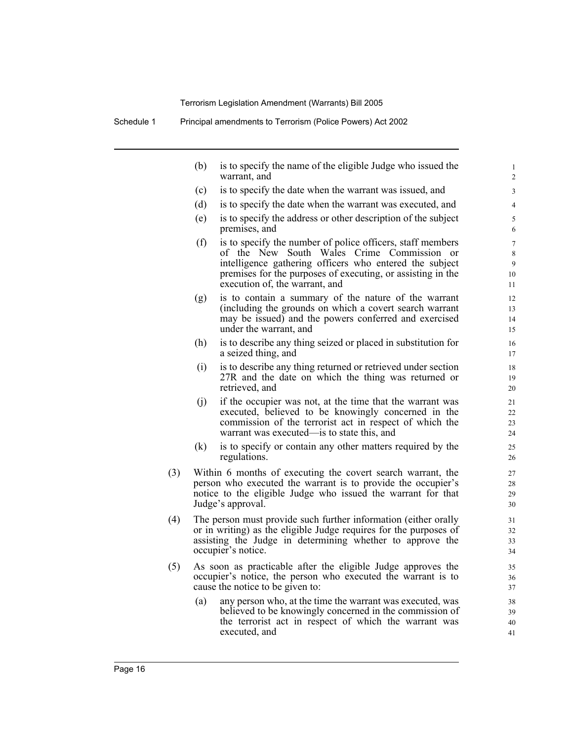|     | (b) | is to specify the name of the eligible Judge who issued the<br>warrant, and                                                                                                                                                                                                        | $\mathbf{1}$<br>$\overline{c}$ |
|-----|-----|------------------------------------------------------------------------------------------------------------------------------------------------------------------------------------------------------------------------------------------------------------------------------------|--------------------------------|
|     | (c) | is to specify the date when the warrant was issued, and                                                                                                                                                                                                                            | 3                              |
|     | (d) | is to specify the date when the warrant was executed, and                                                                                                                                                                                                                          | $\overline{4}$                 |
|     | (e) | is to specify the address or other description of the subject<br>premises, and                                                                                                                                                                                                     | 5<br>6                         |
|     | (f) | is to specify the number of police officers, staff members<br>of the New South Wales Crime Commission<br><sub>or</sub><br>intelligence gathering officers who entered the subject<br>premises for the purposes of executing, or assisting in the<br>execution of, the warrant, and | $\tau$<br>8<br>9<br>10<br>11   |
|     | (g) | is to contain a summary of the nature of the warrant<br>(including the grounds on which a covert search warrant<br>may be issued) and the powers conferred and exercised<br>under the warrant, and                                                                                 | 12<br>13<br>14<br>15           |
|     | (h) | is to describe any thing seized or placed in substitution for<br>a seized thing, and                                                                                                                                                                                               | 16<br>17                       |
|     | (i) | is to describe any thing returned or retrieved under section<br>27R and the date on which the thing was returned or<br>retrieved, and                                                                                                                                              | 18<br>19<br>20                 |
|     | (i) | if the occupier was not, at the time that the warrant was<br>executed, believed to be knowingly concerned in the<br>commission of the terrorist act in respect of which the<br>warrant was executed—is to state this, and                                                          | 21<br>22<br>23<br>24           |
|     | (k) | is to specify or contain any other matters required by the<br>regulations.                                                                                                                                                                                                         | 25<br>26                       |
| (3) |     | Within 6 months of executing the covert search warrant, the<br>person who executed the warrant is to provide the occupier's<br>notice to the eligible Judge who issued the warrant for that<br>Judge's approval.                                                                   | 27<br>28<br>29<br>30           |
| (4) |     | The person must provide such further information (either orally<br>or in writing) as the eligible Judge requires for the purposes of<br>assisting the Judge in determining whether to approve the<br>occupier's notice.                                                            | 31<br>32<br>33<br>34           |
| (5) |     | As soon as practicable after the eligible Judge approves the<br>occupier's notice, the person who executed the warrant is to<br>cause the notice to be given to:                                                                                                                   | 35<br>36<br>37                 |
|     | (a) | any person who, at the time the warrant was executed, was<br>believed to be knowingly concerned in the commission of<br>the terrorist act in respect of which the warrant was<br>executed, and                                                                                     | 38<br>39<br>40<br>41           |
|     |     |                                                                                                                                                                                                                                                                                    |                                |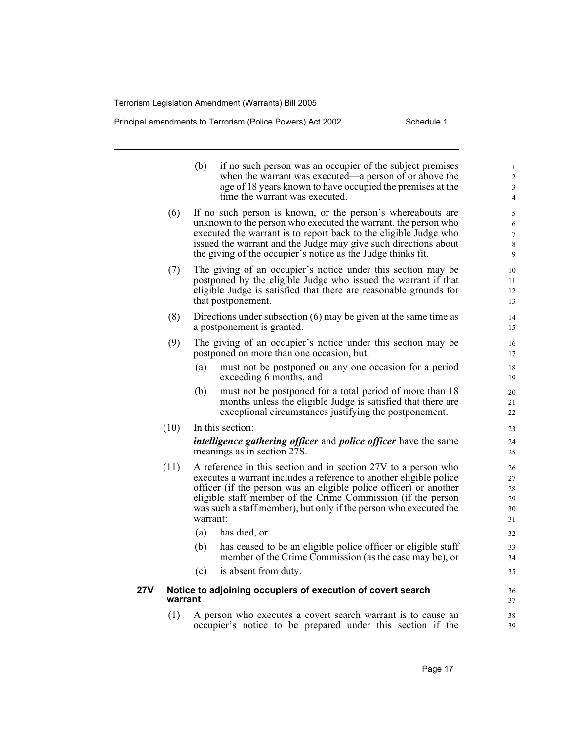Principal amendments to Terrorism (Police Powers) Act 2002 Schedule 1

- (b) if no such person was an occupier of the subject premises when the warrant was executed—a person of or above the age of 18 years known to have occupied the premises at the time the warrant was executed. (6) If no such person is known, or the person's whereabouts are unknown to the person who executed the warrant, the person who executed the warrant is to report back to the eligible Judge who issued the warrant and the Judge may give such directions about the giving of the occupier's notice as the Judge thinks fit. (7) The giving of an occupier's notice under this section may be postponed by the eligible Judge who issued the warrant if that eligible Judge is satisfied that there are reasonable grounds for that postponement. (8) Directions under subsection (6) may be given at the same time as a postponement is granted. (9) The giving of an occupier's notice under this section may be postponed on more than one occasion, but: (a) must not be postponed on any one occasion for a period exceeding 6 months, and (b) must not be postponed for a total period of more than 18 months unless the eligible Judge is satisfied that there are exceptional circumstances justifying the postponement. (10) In this section: *intelligence gathering officer* and *police officer* have the same meanings as in section 27S. (11) A reference in this section and in section 27V to a person who executes a warrant includes a reference to another eligible police officer (if the person was an eligible police officer) or another eligible staff member of the Crime Commission (if the person was such a staff member), but only if the person who executed the warrant: (a) has died, or (b) has ceased to be an eligible police officer or eligible staff member of the Crime Commission (as the case may be), or (c) is absent from duty. **27V Notice to adjoining occupiers of execution of covert search warrant** 1 2 3 4 5 6 7 8 9 10 11 12 13 14 15 16 17 18 19 20 21 22 23  $24$ 25 26 27 28 29 30 31 32 33 34 35 36 37 38
	- (1) A person who executes a covert search warrant is to cause an occupier's notice to be prepared under this section if the

39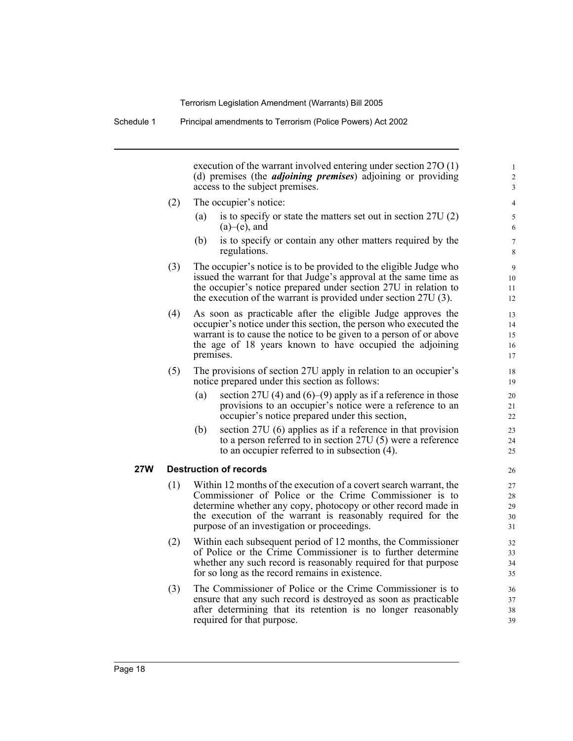Schedule 1 Principal amendments to Terrorism (Police Powers) Act 2002

execution of the warrant involved entering under section 27O (1) (d) premises (the *adjoining premises*) adjoining or providing access to the subject premises.

- (2) The occupier's notice:
	- (a) is to specify or state the matters set out in section 27U (2)  $(a)$ – $(e)$ , and
	- (b) is to specify or contain any other matters required by the regulations.
- (3) The occupier's notice is to be provided to the eligible Judge who issued the warrant for that Judge's approval at the same time as the occupier's notice prepared under section 27U in relation to the execution of the warrant is provided under section 27U (3).
- (4) As soon as practicable after the eligible Judge approves the occupier's notice under this section, the person who executed the warrant is to cause the notice to be given to a person of or above the age of 18 years known to have occupied the adjoining premises.
- (5) The provisions of section 27U apply in relation to an occupier's notice prepared under this section as follows:
	- (a) section 27U (4) and (6)–(9) apply as if a reference in those provisions to an occupier's notice were a reference to an occupier's notice prepared under this section,
	- (b) section 27U (6) applies as if a reference in that provision to a person referred to in section 27U (5) were a reference to an occupier referred to in subsection (4).

#### **27W Destruction of records**

- (1) Within 12 months of the execution of a covert search warrant, the Commissioner of Police or the Crime Commissioner is to determine whether any copy, photocopy or other record made in the execution of the warrant is reasonably required for the purpose of an investigation or proceedings.
- (2) Within each subsequent period of 12 months, the Commissioner of Police or the Crime Commissioner is to further determine whether any such record is reasonably required for that purpose for so long as the record remains in existence.
- (3) The Commissioner of Police or the Crime Commissioner is to ensure that any such record is destroyed as soon as practicable after determining that its retention is no longer reasonably required for that purpose.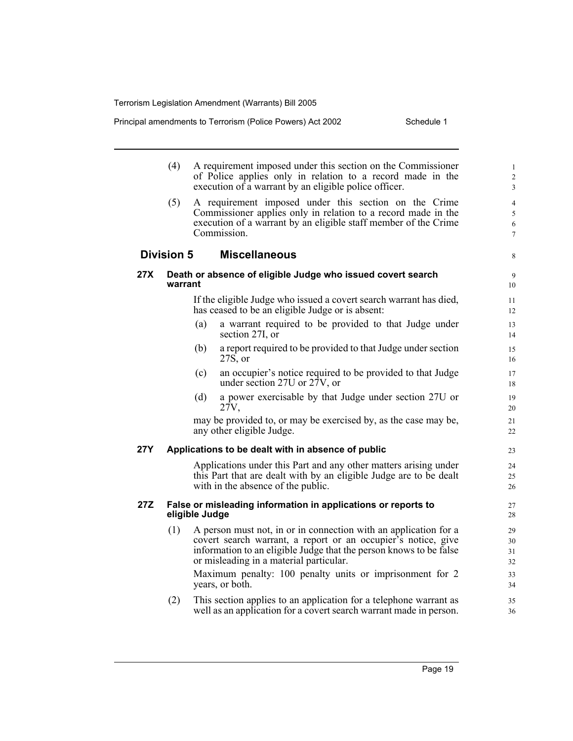Principal amendments to Terrorism (Police Powers) Act 2002 Schedule 1

- (4) A requirement imposed under this section on the Commissioner of Police applies only in relation to a record made in the execution of a warrant by an eligible police officer.
- (5) A requirement imposed under this section on the Crime Commissioner applies only in relation to a record made in the execution of a warrant by an eligible staff member of the Crime Commission.

### **Division 5 Miscellaneous**

#### **27X Death or absence of eligible Judge who issued covert search warrant**

If the eligible Judge who issued a covert search warrant has died, has ceased to be an eligible Judge or is absent:

- (a) a warrant required to be provided to that Judge under section 27I, or
- (b) a report required to be provided to that Judge under section 27S, or
- (c) an occupier's notice required to be provided to that Judge under section 27U or 27V, or
- (d) a power exercisable by that Judge under section 27U or 27V,

may be provided to, or may be exercised by, as the case may be, any other eligible Judge.

#### **27Y Applications to be dealt with in absence of public**

Applications under this Part and any other matters arising under this Part that are dealt with by an eligible Judge are to be dealt with in the absence of the public.

#### **27Z False or misleading information in applications or reports to eligible Judge**

(1) A person must not, in or in connection with an application for a covert search warrant, a report or an occupier's notice, give information to an eligible Judge that the person knows to be false or misleading in a material particular.

Maximum penalty: 100 penalty units or imprisonment for 2 years, or both.

(2) This section applies to an application for a telephone warrant as well as an application for a covert search warrant made in person.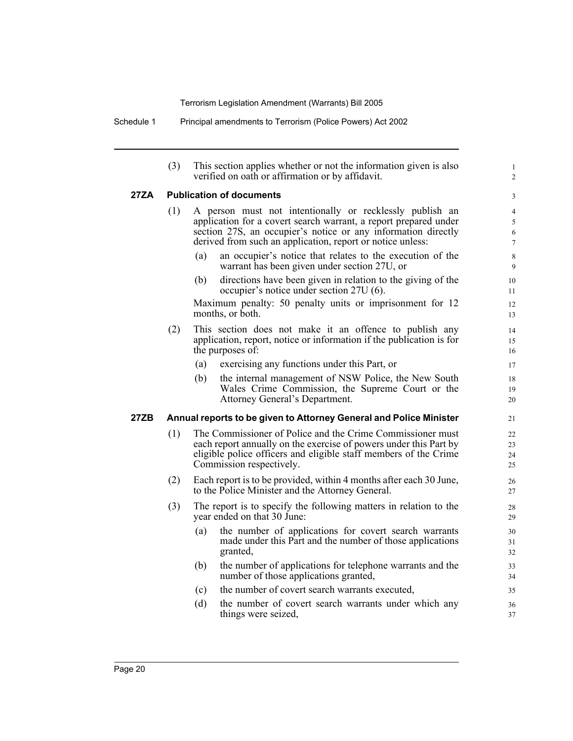Schedule 1 Principal amendments to Terrorism (Police Powers) Act 2002

(3) This section applies whether or not the information given is also verified on oath or affirmation or by affidavit.

1 2

## **27ZA Publication of documents**

| 27ZA |     |     | <b>Publication of documents</b>                                                                                                                                                                                                                             | $\mathfrak{Z}$                                       |
|------|-----|-----|-------------------------------------------------------------------------------------------------------------------------------------------------------------------------------------------------------------------------------------------------------------|------------------------------------------------------|
|      | (1) |     | A person must not intentionally or recklessly publish an<br>application for a covert search warrant, a report prepared under<br>section 27S, an occupier's notice or any information directly<br>derived from such an application, report or notice unless: | $\overline{4}$<br>$\sqrt{5}$<br>$\sqrt{6}$<br>$\tau$ |
|      |     | (a) | an occupier's notice that relates to the execution of the<br>warrant has been given under section 27U, or                                                                                                                                                   | $\,$ 8 $\,$<br>9                                     |
|      |     | (b) | directions have been given in relation to the giving of the<br>occupier's notice under section 27U (6).                                                                                                                                                     | 10<br>11                                             |
|      |     |     | Maximum penalty: 50 penalty units or imprisonment for 12<br>months, or both.                                                                                                                                                                                | 12<br>13                                             |
|      | (2) |     | This section does not make it an offence to publish any<br>application, report, notice or information if the publication is for<br>the purposes of:                                                                                                         | 14<br>15<br>16                                       |
|      |     | (a) | exercising any functions under this Part, or                                                                                                                                                                                                                | 17                                                   |
|      |     | (b) | the internal management of NSW Police, the New South<br>Wales Crime Commission, the Supreme Court or the<br>Attorney General's Department.                                                                                                                  | 18<br>19<br>20                                       |
| 27ZB |     |     | Annual reports to be given to Attorney General and Police Minister                                                                                                                                                                                          | 21                                                   |
|      | (1) |     | The Commissioner of Police and the Crime Commissioner must<br>each report annually on the exercise of powers under this Part by<br>eligible police officers and eligible staff members of the Crime<br>Commission respectively.                             | 22<br>23<br>24<br>25                                 |
|      | (2) |     | Each report is to be provided, within 4 months after each 30 June,<br>to the Police Minister and the Attorney General.                                                                                                                                      | 26<br>27                                             |
|      | (3) |     | The report is to specify the following matters in relation to the<br>year ended on that 30 June:                                                                                                                                                            | 28<br>29                                             |
|      |     | (a) | the number of applications for covert search warrants<br>made under this Part and the number of those applications<br>granted,                                                                                                                              | 30<br>31<br>32                                       |
|      |     | (b) | the number of applications for telephone warrants and the<br>number of those applications granted,                                                                                                                                                          | 33<br>34                                             |
|      |     | (c) | the number of covert search warrants executed,                                                                                                                                                                                                              | 35                                                   |
|      |     | (d) | the number of covert search warrants under which any<br>things were seized,                                                                                                                                                                                 | 36<br>37                                             |
|      |     |     |                                                                                                                                                                                                                                                             |                                                      |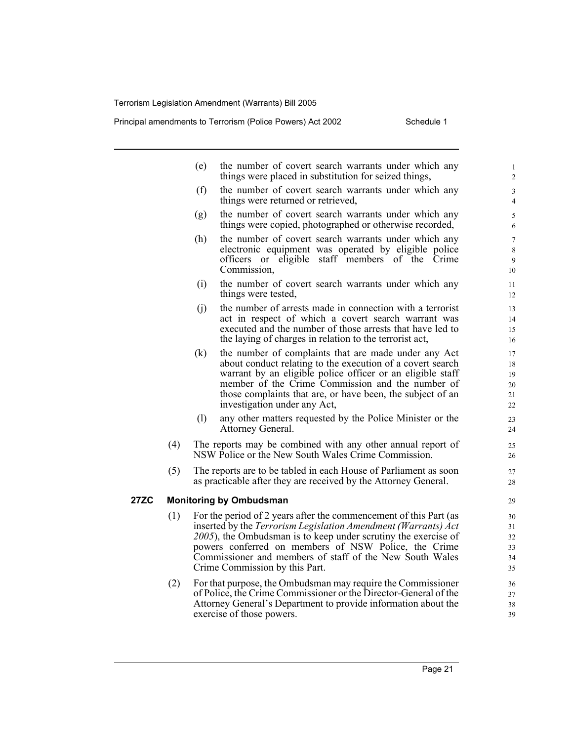Principal amendments to Terrorism (Police Powers) Act 2002 Schedule 1

|             |                                | (e)<br>the number of covert search warrants under which any<br>things were placed in substitution for seized things,                                                                                                                                                                                                                                        |  |  |  |
|-------------|--------------------------------|-------------------------------------------------------------------------------------------------------------------------------------------------------------------------------------------------------------------------------------------------------------------------------------------------------------------------------------------------------------|--|--|--|
|             |                                | (f)<br>the number of covert search warrants under which any<br>things were returned or retrieved,                                                                                                                                                                                                                                                           |  |  |  |
|             |                                | the number of covert search warrants under which any<br>(g)<br>things were copied, photographed or otherwise recorded,                                                                                                                                                                                                                                      |  |  |  |
|             |                                | (h)<br>the number of covert search warrants under which any<br>electronic equipment was operated by eligible police<br>officers or eligible staff members of the Crime<br>Commission,                                                                                                                                                                       |  |  |  |
|             |                                | the number of covert search warrants under which any<br>(i)<br>things were tested,                                                                                                                                                                                                                                                                          |  |  |  |
|             |                                | the number of arrests made in connection with a terrorist<br>(j)<br>act in respect of which a covert search warrant was<br>executed and the number of those arrests that have led to<br>the laying of charges in relation to the terrorist act,                                                                                                             |  |  |  |
|             |                                | the number of complaints that are made under any Act<br>(k)<br>about conduct relating to the execution of a covert search<br>warrant by an eligible police officer or an eligible staff<br>member of the Crime Commission and the number of<br>those complaints that are, or have been, the subject of an<br>investigation under any Act,                   |  |  |  |
|             |                                | (1)<br>any other matters requested by the Police Minister or the<br>Attorney General.                                                                                                                                                                                                                                                                       |  |  |  |
|             | (4)                            | The reports may be combined with any other annual report of<br>NSW Police or the New South Wales Crime Commission.                                                                                                                                                                                                                                          |  |  |  |
|             | (5)                            | The reports are to be tabled in each House of Parliament as soon<br>as practicable after they are received by the Attorney General.                                                                                                                                                                                                                         |  |  |  |
| <b>27ZC</b> | <b>Monitoring by Ombudsman</b> |                                                                                                                                                                                                                                                                                                                                                             |  |  |  |
|             | (1)                            | For the period of 2 years after the commencement of this Part (as<br>inserted by the Terrorism Legislation Amendment (Warrants) Act<br>2005), the Ombudsman is to keep under scrutiny the exercise of<br>powers conferred on members of NSW Police, the Crime<br>Commissioner and members of staff of the New South Wales<br>Crime Commission by this Part. |  |  |  |
|             | (2)                            | For that purpose, the Ombudsman may require the Commissioner<br>of Police, the Crime Commissioner or the Director-General of the<br>Attorney General's Department to provide information about the<br>exercise of those powers.                                                                                                                             |  |  |  |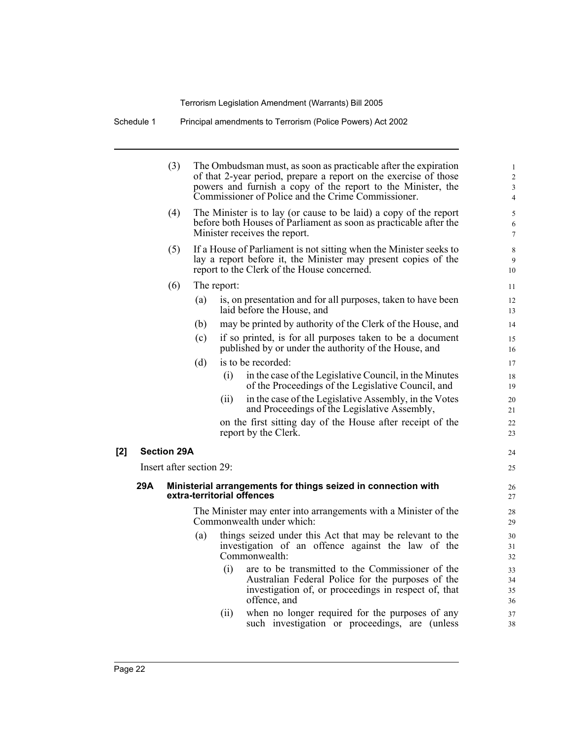Schedule 1 Principal amendments to Terrorism (Police Powers) Act 2002

|                                                                                                    |                          | (3)                |                                                                                                                                                                         |             | The Ombudsman must, as soon as practicable after the expiration<br>of that 2-year period, prepare a report on the exercise of those<br>powers and furnish a copy of the report to the Minister, the<br>Commissioner of Police and the Crime Commissioner. | $\mathbf{1}$<br>$\overline{c}$<br>$\mathfrak{Z}$<br>$\overline{4}$ |  |
|----------------------------------------------------------------------------------------------------|--------------------------|--------------------|-------------------------------------------------------------------------------------------------------------------------------------------------------------------------|-------------|-----------------------------------------------------------------------------------------------------------------------------------------------------------------------------------------------------------------------------------------------------------|--------------------------------------------------------------------|--|
|                                                                                                    |                          | (4)                | The Minister is to lay (or cause to be laid) a copy of the report<br>before both Houses of Parliament as soon as practicable after the<br>Minister receives the report. |             |                                                                                                                                                                                                                                                           |                                                                    |  |
|                                                                                                    |                          | (5)                |                                                                                                                                                                         |             | If a House of Parliament is not sitting when the Minister seeks to<br>lay a report before it, the Minister may present copies of the<br>report to the Clerk of the House concerned.                                                                       | 8<br>9<br>10                                                       |  |
|                                                                                                    |                          | (6)                |                                                                                                                                                                         | The report: |                                                                                                                                                                                                                                                           |                                                                    |  |
|                                                                                                    |                          |                    | (a)                                                                                                                                                                     |             | is, on presentation and for all purposes, taken to have been<br>laid before the House, and                                                                                                                                                                | 12<br>13                                                           |  |
|                                                                                                    |                          |                    | (b)                                                                                                                                                                     |             | may be printed by authority of the Clerk of the House, and                                                                                                                                                                                                | 14                                                                 |  |
|                                                                                                    |                          |                    | (c)                                                                                                                                                                     |             | if so printed, is for all purposes taken to be a document<br>published by or under the authority of the House, and                                                                                                                                        | 15<br>16                                                           |  |
|                                                                                                    |                          |                    | (d)                                                                                                                                                                     |             | is to be recorded:                                                                                                                                                                                                                                        | 17                                                                 |  |
|                                                                                                    |                          |                    |                                                                                                                                                                         | (i)         | in the case of the Legislative Council, in the Minutes<br>of the Proceedings of the Legislative Council, and                                                                                                                                              | 18<br>19                                                           |  |
|                                                                                                    |                          |                    |                                                                                                                                                                         | (i)         | in the case of the Legislative Assembly, in the Votes<br>and Proceedings of the Legislative Assembly,                                                                                                                                                     | 20<br>21                                                           |  |
|                                                                                                    |                          |                    |                                                                                                                                                                         |             | on the first sitting day of the House after receipt of the<br>report by the Clerk.                                                                                                                                                                        | 22<br>23                                                           |  |
| [2]                                                                                                |                          | <b>Section 29A</b> |                                                                                                                                                                         |             |                                                                                                                                                                                                                                                           | 24                                                                 |  |
|                                                                                                    | Insert after section 29: |                    |                                                                                                                                                                         |             |                                                                                                                                                                                                                                                           | 25                                                                 |  |
| 29A<br>Ministerial arrangements for things seized in connection with<br>extra-territorial offences |                          |                    |                                                                                                                                                                         |             |                                                                                                                                                                                                                                                           | 26<br>27                                                           |  |
|                                                                                                    |                          |                    |                                                                                                                                                                         |             | The Minister may enter into arrangements with a Minister of the<br>Commonwealth under which:                                                                                                                                                              | 28<br>29                                                           |  |
|                                                                                                    |                          |                    | (a)                                                                                                                                                                     |             | things seized under this Act that may be relevant to the<br>investigation of an offence against the law of the<br>Commonwealth:                                                                                                                           | 30<br>31<br>32                                                     |  |
|                                                                                                    |                          |                    |                                                                                                                                                                         | (i)         | are to be transmitted to the Commissioner of the<br>Australian Federal Police for the purposes of the<br>investigation of, or proceedings in respect of, that<br>offence, and                                                                             | 33<br>34<br>35<br>36                                               |  |
|                                                                                                    |                          |                    |                                                                                                                                                                         | (ii)        | when no longer required for the purposes of any<br>such investigation or proceedings, are (unless                                                                                                                                                         | 37<br>38                                                           |  |
|                                                                                                    |                          |                    |                                                                                                                                                                         |             |                                                                                                                                                                                                                                                           |                                                                    |  |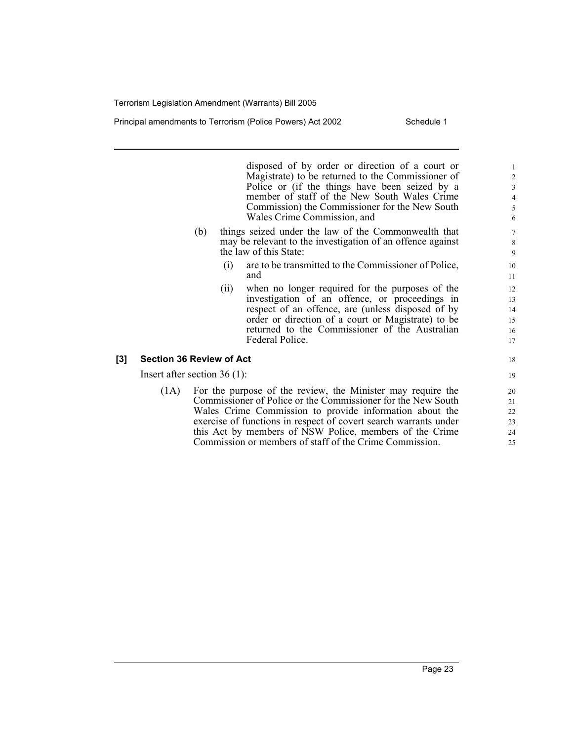Principal amendments to Terrorism (Police Powers) Act 2002 Schedule 1

disposed of by order or direction of a court or Magistrate) to be returned to the Commissioner of Police or (if the things have been seized by a member of staff of the New South Wales Crime Commission) the Commissioner for the New South Wales Crime Commission, and

- (b) things seized under the law of the Commonwealth that may be relevant to the investigation of an offence against the law of this State:
	- (i) are to be transmitted to the Commissioner of Police, and
	- (ii) when no longer required for the purposes of the investigation of an offence, or proceedings in respect of an offence, are (unless disposed of by order or direction of a court or Magistrate) to be returned to the Commissioner of the Australian Federal Police.

#### **[3] Section 36 Review of Act**

Insert after section 36 (1):

(1A) For the purpose of the review, the Minister may require the Commissioner of Police or the Commissioner for the New South Wales Crime Commission to provide information about the exercise of functions in respect of covert search warrants under this Act by members of NSW Police, members of the Crime Commission or members of staff of the Crime Commission.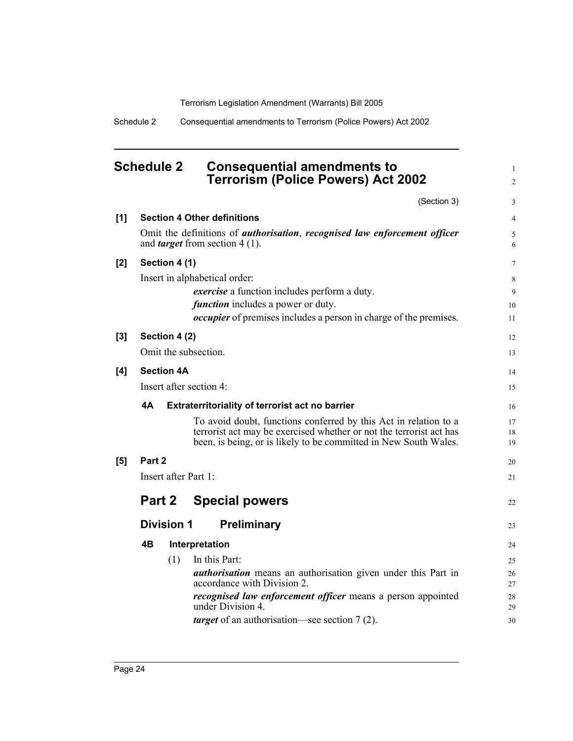Schedule 2 Consequential amendments to Terrorism (Police Powers) Act 2002

## **Schedule 2 Consequential amendments to Terrorism (Police Powers) Act 2002**

(Section 3)

1 2

3

| [1]   | <b>Section 4 Other definitions</b> |                   |                                                                                                                                   |          |  |  |
|-------|------------------------------------|-------------------|-----------------------------------------------------------------------------------------------------------------------------------|----------|--|--|
|       |                                    |                   | Omit the definitions of <i>authorisation</i> , <i>recognised law enforcement officer</i><br>and <i>target</i> from section 4 (1). | 5<br>6   |  |  |
| [2]   |                                    | Section 4 (1)     |                                                                                                                                   | 7        |  |  |
|       |                                    |                   | Insert in alphabetical order:                                                                                                     | 8        |  |  |
|       |                                    |                   | <i>exercise</i> a function includes perform a duty.                                                                               | 9        |  |  |
|       |                                    |                   | <i>function</i> includes a power or duty.                                                                                         | 10       |  |  |
|       |                                    |                   | <i>occupier</i> of premises includes a person in charge of the premises.                                                          | 11       |  |  |
| $[3]$ |                                    | Section 4 (2)     |                                                                                                                                   | 12       |  |  |
|       |                                    |                   | Omit the subsection.                                                                                                              | 13       |  |  |
| [4]   |                                    | <b>Section 4A</b> |                                                                                                                                   | 14       |  |  |
|       |                                    |                   | Insert after section 4:                                                                                                           | 15       |  |  |
|       | 4A                                 |                   | <b>Extraterritoriality of terrorist act no barrier</b>                                                                            | 16       |  |  |
|       |                                    |                   | To avoid doubt, functions conferred by this Act in relation to a                                                                  | 17       |  |  |
|       |                                    |                   | terrorist act may be exercised whether or not the terrorist act has                                                               | 18       |  |  |
|       |                                    |                   | been, is being, or is likely to be committed in New South Wales.                                                                  | 19       |  |  |
| [5]   | Part 2                             |                   |                                                                                                                                   | 20       |  |  |
|       | Insert after Part 1:               |                   |                                                                                                                                   |          |  |  |
|       | Part 2                             |                   | <b>Special powers</b>                                                                                                             | 22       |  |  |
|       | Preliminary<br><b>Division 1</b>   |                   |                                                                                                                                   |          |  |  |
|       | 4B                                 |                   | Interpretation                                                                                                                    |          |  |  |
|       |                                    | (1)               | In this Part:                                                                                                                     | 25       |  |  |
|       |                                    |                   | <i>authorisation</i> means an authorisation given under this Part in                                                              | 26       |  |  |
|       |                                    |                   | accordance with Division 2.                                                                                                       | 27       |  |  |
|       |                                    |                   | <i>recognised law enforcement officer</i> means a person appointed<br>under Division 4.                                           | 28<br>29 |  |  |
|       |                                    |                   | <i>target</i> of an authorisation—see section 7(2).                                                                               | 30       |  |  |
|       |                                    |                   |                                                                                                                                   |          |  |  |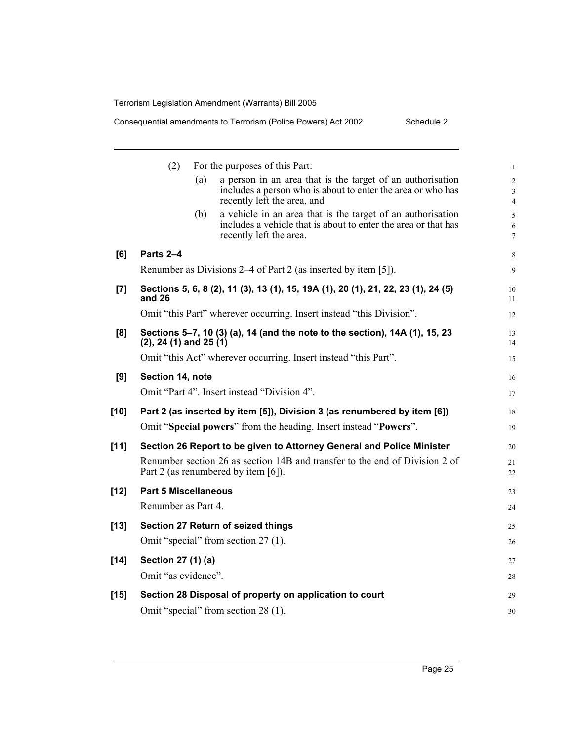|        | (2)                                                                                         |     | For the purposes of this Part:                                                                                                                           | $\mathbf{1}$                          |  |  |
|--------|---------------------------------------------------------------------------------------------|-----|----------------------------------------------------------------------------------------------------------------------------------------------------------|---------------------------------------|--|--|
|        |                                                                                             | (a) | a person in an area that is the target of an authorisation<br>includes a person who is about to enter the area or who has<br>recently left the area, and | $\overline{c}$<br>3<br>$\overline{4}$ |  |  |
|        |                                                                                             | (b) | a vehicle in an area that is the target of an authorisation<br>includes a vehicle that is about to enter the area or that has<br>recently left the area. | 5<br>6<br>$\overline{7}$              |  |  |
| [6]    | Parts 2-4                                                                                   |     |                                                                                                                                                          | 8                                     |  |  |
|        |                                                                                             |     | Renumber as Divisions 2–4 of Part 2 (as inserted by item [5]).                                                                                           | 9                                     |  |  |
| $[7]$  | Sections 5, 6, 8 (2), 11 (3), 13 (1), 15, 19A (1), 20 (1), 21, 22, 23 (1), 24 (5)<br>and 26 |     |                                                                                                                                                          |                                       |  |  |
|        |                                                                                             |     | Omit "this Part" wherever occurring. Insert instead "this Division".                                                                                     | 12                                    |  |  |
| [8]    | $(2)$ , 24 (1) and 25 (1)                                                                   |     | Sections 5-7, 10 (3) (a), 14 (and the note to the section), 14A (1), 15, 23                                                                              | 13<br>14                              |  |  |
|        |                                                                                             |     | Omit "this Act" wherever occurring. Insert instead "this Part".                                                                                          | 15                                    |  |  |
| [9]    | Section 14, note                                                                            |     |                                                                                                                                                          | 16                                    |  |  |
|        |                                                                                             |     | Omit "Part 4". Insert instead "Division 4".                                                                                                              | 17                                    |  |  |
| $[10]$ | Part 2 (as inserted by item [5]), Division 3 (as renumbered by item [6])                    |     |                                                                                                                                                          |                                       |  |  |
|        |                                                                                             |     | Omit "Special powers" from the heading. Insert instead "Powers".                                                                                         | 19                                    |  |  |
| $[11]$ | Section 26 Report to be given to Attorney General and Police Minister                       |     |                                                                                                                                                          |                                       |  |  |
|        |                                                                                             |     | Renumber section 26 as section 14B and transfer to the end of Division 2 of<br>Part 2 (as renumbered by item [6]).                                       | 21<br>22                              |  |  |
| $[12]$ | <b>Part 5 Miscellaneous</b>                                                                 |     |                                                                                                                                                          | 23                                    |  |  |
|        | Renumber as Part 4.                                                                         |     |                                                                                                                                                          | 24                                    |  |  |
| $[13]$ |                                                                                             |     | Section 27 Return of seized things                                                                                                                       | 25                                    |  |  |
|        |                                                                                             |     | Omit "special" from section 27 (1).                                                                                                                      | 26                                    |  |  |
| $[14]$ | Section 27 (1) (a)                                                                          |     |                                                                                                                                                          | 27                                    |  |  |
|        | Omit "as evidence".                                                                         |     |                                                                                                                                                          | 28                                    |  |  |
| $[15]$ |                                                                                             |     | Section 28 Disposal of property on application to court                                                                                                  | 29                                    |  |  |
|        |                                                                                             |     | Omit "special" from section 28 (1).                                                                                                                      | 30                                    |  |  |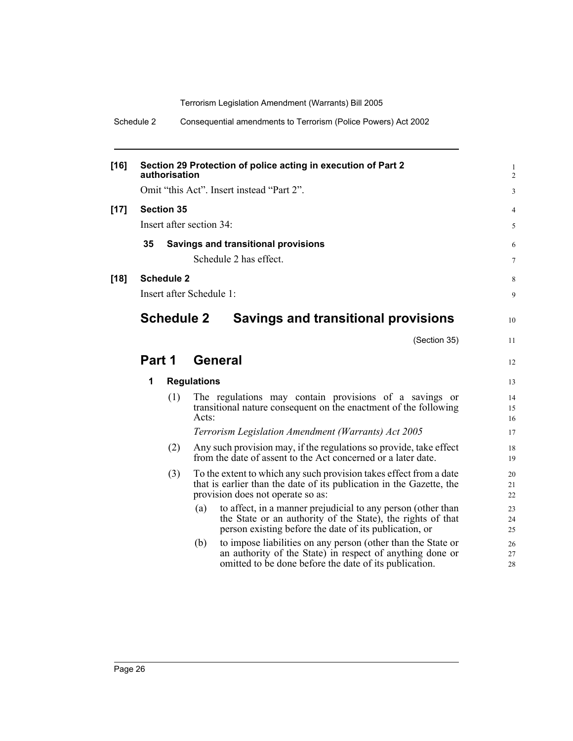Schedule 2 Consequential amendments to Terrorism (Police Powers) Act 2002

| $[16]$ |                                                  | authorisation     |                          | Section 29 Protection of police acting in execution of Part 2                                                                                                                         | 1<br>$\overline{c}$ |  |  |  |  |
|--------|--------------------------------------------------|-------------------|--------------------------|---------------------------------------------------------------------------------------------------------------------------------------------------------------------------------------|---------------------|--|--|--|--|
|        |                                                  |                   |                          | Omit "this Act". Insert instead "Part 2".                                                                                                                                             | 3                   |  |  |  |  |
| $[17]$ | <b>Section 35</b>                                |                   |                          |                                                                                                                                                                                       | 4                   |  |  |  |  |
|        |                                                  |                   | Insert after section 34: |                                                                                                                                                                                       | 5                   |  |  |  |  |
|        | 35<br><b>Savings and transitional provisions</b> |                   |                          |                                                                                                                                                                                       |                     |  |  |  |  |
|        | Schedule 2 has effect.                           |                   |                          |                                                                                                                                                                                       |                     |  |  |  |  |
| $[18]$ |                                                  | <b>Schedule 2</b> |                          |                                                                                                                                                                                       | 8                   |  |  |  |  |
|        | Insert after Schedule 1:                         |                   |                          | 9                                                                                                                                                                                     |                     |  |  |  |  |
|        |                                                  | <b>Schedule 2</b> |                          | Savings and transitional provisions                                                                                                                                                   | 10                  |  |  |  |  |
|        |                                                  |                   |                          | (Section 35)                                                                                                                                                                          | 11                  |  |  |  |  |
|        | Part 1                                           |                   | General                  |                                                                                                                                                                                       | 12                  |  |  |  |  |
|        | 1                                                |                   | <b>Regulations</b>       |                                                                                                                                                                                       | 13                  |  |  |  |  |
|        |                                                  | (1)               | Acts:                    | The regulations may contain provisions of a savings or<br>transitional nature consequent on the enactment of the following                                                            | 14<br>15<br>16      |  |  |  |  |
|        |                                                  |                   |                          | Terrorism Legislation Amendment (Warrants) Act 2005                                                                                                                                   | 17                  |  |  |  |  |
|        |                                                  | (2)               |                          | Any such provision may, if the regulations so provide, take effect<br>from the date of assent to the Act concerned or a later date.                                                   | 18<br>19            |  |  |  |  |
|        |                                                  | (3)               |                          | To the extent to which any such provision takes effect from a date<br>that is earlier than the date of its publication in the Gazette, the<br>provision does not operate so as:       | 20<br>21<br>22      |  |  |  |  |
|        |                                                  |                   | (a)                      | to affect, in a manner prejudicial to any person (other than<br>the State or an authority of the State), the rights of that<br>person existing before the date of its publication, or | 23<br>24<br>25      |  |  |  |  |
|        |                                                  |                   | (b)                      | to impose liabilities on any person (other than the State or<br>an authority of the State) in respect of anything done or<br>omitted to be done before the date of its publication.   | 26<br>27<br>28      |  |  |  |  |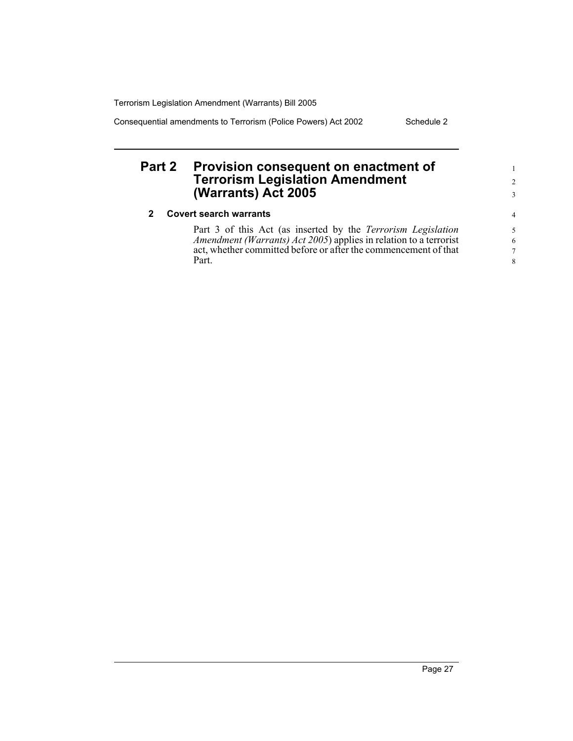Consequential amendments to Terrorism (Police Powers) Act 2002 Schedule 2

## **Part 2 Provision consequent on enactment of Terrorism Legislation Amendment (Warrants) Act 2005**

#### **2 Covert search warrants**

Part 3 of this Act (as inserted by the *Terrorism Legislation Amendment (Warrants) Act 2005*) applies in relation to a terrorist act, whether committed before or after the commencement of that Part.

1 2 3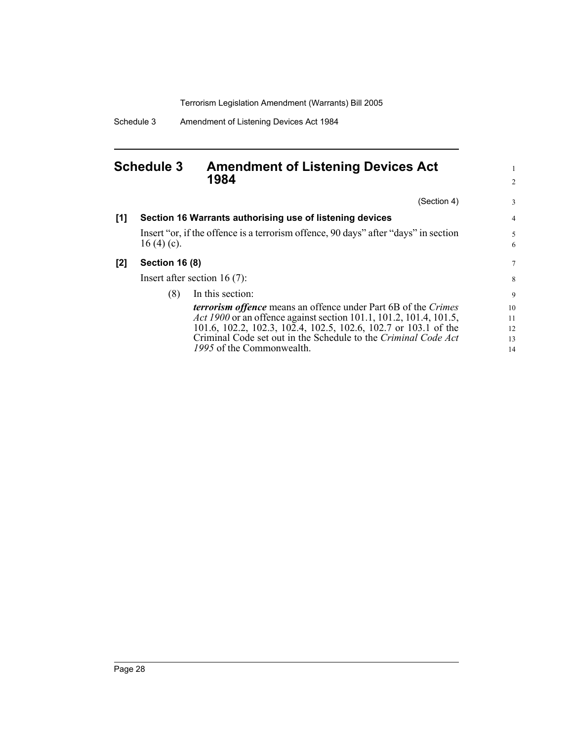Schedule 3 Amendment of Listening Devices Act 1984

### **Schedule 3 Amendment of Listening Devices Act 1984**

(Section 4) **[1] Section 16 Warrants authorising use of listening devices** Insert "or, if the offence is a terrorism offence, 90 days" after "days" in section 16 (4) (c). **[2] Section 16 (8)** Insert after section 16 (7): (8) In this section: *terrorism offence* means an offence under Part 6B of the *Crimes Act 1900* or an offence against section 101.1, 101.2, 101.4, 101.5, 101.6, 102.2, 102.3, 102.4, 102.5, 102.6, 102.7 or 103.1 of the Criminal Code set out in the Schedule to the *Criminal Code Act 1995* of the Commonwealth. 3 4 5 7 9 10 11 12 13 14

1 2

6

8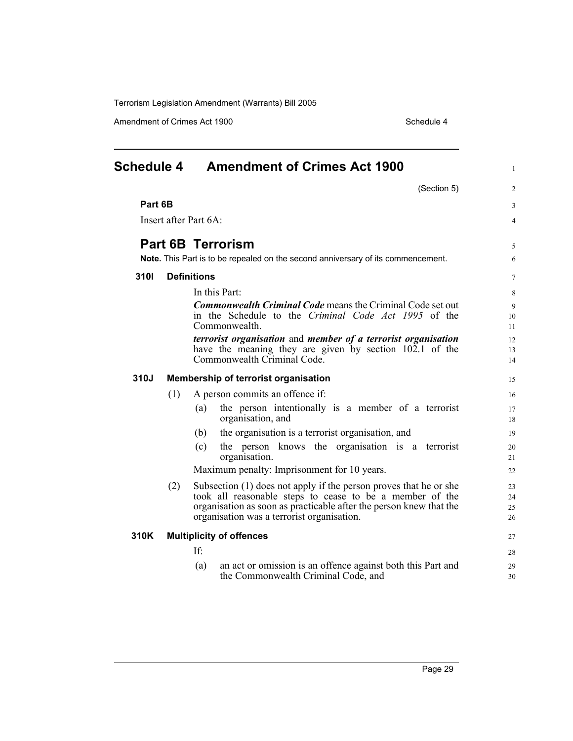Amendment of Crimes Act 1900 Schedule 4

| <b>Schedule 4</b> |                                 | <b>Amendment of Crimes Act 1900</b>                                                                                                                                                                                                               |                      |  |  |
|-------------------|---------------------------------|---------------------------------------------------------------------------------------------------------------------------------------------------------------------------------------------------------------------------------------------------|----------------------|--|--|
|                   |                                 | (Section 5)                                                                                                                                                                                                                                       | 2                    |  |  |
| Part 6B           |                                 | 3                                                                                                                                                                                                                                                 |                      |  |  |
|                   | Insert after Part 6A:           |                                                                                                                                                                                                                                                   |                      |  |  |
|                   |                                 | <b>Part 6B Terrorism</b>                                                                                                                                                                                                                          | 5                    |  |  |
|                   |                                 | Note. This Part is to be repealed on the second anniversary of its commencement.                                                                                                                                                                  | 6                    |  |  |
| 3101              |                                 | <b>Definitions</b>                                                                                                                                                                                                                                | $\tau$               |  |  |
|                   |                                 | In this Part:                                                                                                                                                                                                                                     | 8                    |  |  |
|                   |                                 | <b>Commonwealth Criminal Code means the Criminal Code set out</b>                                                                                                                                                                                 | 9                    |  |  |
|                   |                                 | in the Schedule to the Criminal Code Act 1995 of the                                                                                                                                                                                              | 10                   |  |  |
|                   |                                 | Commonwealth                                                                                                                                                                                                                                      | 11                   |  |  |
|                   |                                 | terrorist organisation and member of a terrorist organisation                                                                                                                                                                                     | 12                   |  |  |
|                   |                                 | have the meaning they are given by section 102.1 of the<br>Commonwealth Criminal Code.                                                                                                                                                            | 13                   |  |  |
|                   |                                 |                                                                                                                                                                                                                                                   | 14                   |  |  |
| 310J              |                                 | Membership of terrorist organisation                                                                                                                                                                                                              | 15                   |  |  |
|                   | (1)                             | A person commits an offence if:                                                                                                                                                                                                                   | 16                   |  |  |
|                   |                                 | the person intentionally is a member of a terrorist<br>(a)<br>organisation, and                                                                                                                                                                   | 17<br>18             |  |  |
|                   |                                 | the organisation is a terrorist organisation, and<br>(b)                                                                                                                                                                                          | 19                   |  |  |
|                   |                                 | the person knows the organisation is a terrorist<br>(c)<br>organisation.                                                                                                                                                                          | 20<br>21             |  |  |
|                   |                                 | Maximum penalty: Imprisonment for 10 years.                                                                                                                                                                                                       | 22                   |  |  |
|                   | (2)                             | Subsection (1) does not apply if the person proves that he or she<br>took all reasonable steps to cease to be a member of the<br>organisation as soon as practicable after the person knew that the<br>organisation was a terrorist organisation. | 23<br>24<br>25<br>26 |  |  |
| 310K              | <b>Multiplicity of offences</b> |                                                                                                                                                                                                                                                   |                      |  |  |
|                   |                                 | If:                                                                                                                                                                                                                                               | 27<br>28             |  |  |
|                   |                                 | an act or omission is an offence against both this Part and<br>(a)<br>the Commonwealth Criminal Code, and                                                                                                                                         | 29<br>30             |  |  |